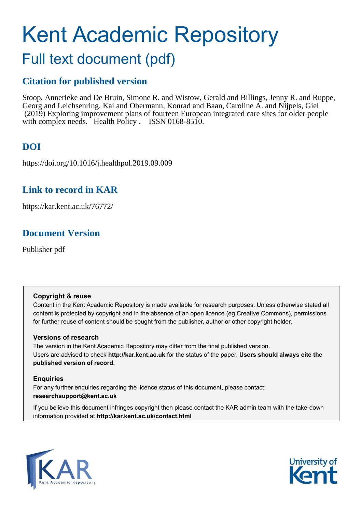# Kent Academic Repository

# Full text document (pdf)

### **Citation for published version**

Stoop, Annerieke and De Bruin, Simone R. and Wistow, Gerald and Billings, Jenny R. and Ruppe, Georg and Leichsenring, Kai and Obermann, Konrad and Baan, Caroline A. and Nijpels, Giel (2019) Exploring improvement plans of fourteen European integrated care sites for older people with complex needs. Health Policy . ISSN 0168-8510.

### **DOI**

https://doi.org/10.1016/j.healthpol.2019.09.009

### **Link to record in KAR**

https://kar.kent.ac.uk/76772/

### **Document Version**

Publisher pdf

### **Copyright & reuse**

Content in the Kent Academic Repository is made available for research purposes. Unless otherwise stated all content is protected by copyright and in the absence of an open licence (eg Creative Commons), permissions for further reuse of content should be sought from the publisher, author or other copyright holder.

### **Versions of research**

The version in the Kent Academic Repository may differ from the final published version. Users are advised to check **http://kar.kent.ac.uk** for the status of the paper. **Users should always cite the published version of record.**

### **Enquiries**

For any further enquiries regarding the licence status of this document, please contact: **researchsupport@kent.ac.uk**

If you believe this document infringes copyright then please contact the KAR admin team with the take-down information provided at **http://kar.kent.ac.uk/contact.html**



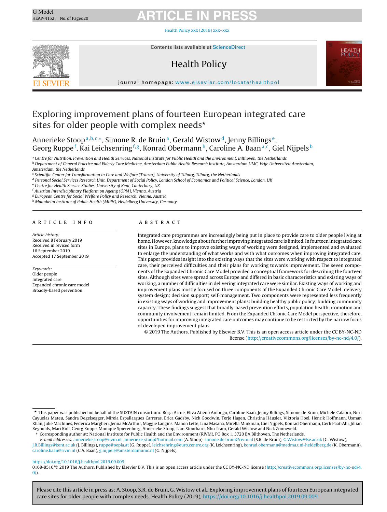Health Policy xxx (2019) [xxx–xxx](https://doi.org/10.1016/j.healthpol.2019.09.009)



Contents lists available at [ScienceDirect](http://www.sciencedirect.com/science/journal/01688510)

### Health Policy



iournal homepage: [www.elsevier.com/locate/healthpol](http://www.elsevier.com/locate/healthpol)

### Exploring improvement plans of fourteen European integrated care sites for older people with complex needs\*

Annerieke Stoop<sup>a, b, c,∗</sup>, Simone R. de Bruin<sup>a</sup>, Gerald Wistow<sup>d</sup>, Jenny Billings<sup>e</sup>, Georg Ruppe<sup>f</sup>, Kai Leichsenring<sup>f,g</sup>, Konrad Obermann<sup>h</sup>, Caroline A. Baan<sup>a,c</sup>, Giel Nijpels<sup>b</sup>

a Centre for Nutrition, Prevention and Health Services, National Institute for Public Health and the Environment, Bilthoven, the Netherlands

**b** Department of General Practice and Elderly Care Medicine, Amsterdam Public Health Research Institute, Amsterdam UMC, Vrije Universiteit Amsterdam, Amsterdam, the Netherlands

<sup>c</sup> Scientific Center for Transformation in Care and Welfare (Tranzo), University of Tilburg, Tilburg, the Netherlands

<sup>d</sup> Personal Social Services Research Unit, Department of Social Policy, London School of Economics and Political Science, London, UK

<sup>e</sup> Centre for Health Service Studies, University of Kent, Canterbury, UK

<sup>f</sup> Austrian Interdisciplinary Platform on Ageing (ÖPIA), Vienna, Austria

<sup>g</sup> European Centre for Social Welfare Policy and Research, Vienna, Austria

h Mannheim Institute of Public Health (MIPH), Heidelberg University, Germany

### a r t i c l e i n f o

Article history: Received 8 February 2019 Received in revised form 16 September 2019 Accepted 17 September 2019

Keywords: Older people Integrated care Expanded chronic care model Broadly-based prevention

### A B S T R A C T

Integrated care programmes are increasingly being put in place to provide care to older people living at home. However, knowledge about further improving integrated care is limited. In fourteen integrated care sites in Europe, plans to improve existing ways of working were designed, implemented and evaluated to enlarge the understanding of what works and with what outcomes when improving integrated care. This paper provides insight into the existing ways that the sites were working with respect to integrated care, their perceived difficulties and their plans for working towards improvement. The seven components of the Expanded Chronic Care Model provided a conceptual framework for describing the fourteen sites. Although sites were spread across Europe and differed in basic characteristics and existing ways of working, a number of difficulties in delivering integrated care were similar. Existing ways of working and improvement plans mostly focused on three components of the Expanded Chronic Care Model: delivery system design; decision support; self-management. Two components were represented less frequently in existing ways of working and improvement plans: building healthy public policy; building community capacity. These findings suggest that broadly-based prevention efforts, population health promotion and community involvement remain limited. From the Expanded Chronic Care Model perspective, therefore, opportunities for improving integrated care outcomes may continue to be restricted by the narrow focus of developed improvement plans.

© 2019 The Authors. Published by Elsevier B.V. This is an open access article under the CC BY-NC-ND license [\(http://creativecommons.org/licenses/by-nc-nd/4.0/](http://creativecommons.org/licenses/by-nc-nd/4.0/)).

∗ Corresponding author at: National Institute for Public Health and the Environment (RIVM), PO Box 1, 3720 BA Bilthoven, The Netherlands.

E-mail addresses: [annerieke.stoop@rivm.nl,](mailto:annerieke.stoop@rivm.nl) annerieke [stoop@hotmail.com](mailto:annerieke_stoop@hotmail.com) (A. Stoop), [simone.de.bruin@rivm.nl](mailto:simone.de.bruin@rivm.nl) (S.R. de Bruin), [G.Wistow@lse.ac.uk](mailto:G.Wistow@lse.ac.uk) (G. Wistow),

[J.R.Billings@kent.ac.uk](mailto:J.R.Billings@kent.ac.uk) (J. Billings), [ruppe@oepia.at](mailto:ruppe@oepia.at) (G. Ruppe), [leichsenring@euro.centre.org](mailto:leichsenring@euro.centre.org) (K. Leichsenring), [konrad.obermann@medma.uni-heidelberg.de](mailto:konrad.obermann@medma.uni-heidelberg.de) (K. Obermann), [caroline.baan@rivm.nl](mailto:caroline.baan@rivm.nl) (C.A. Baan), [g.nijpels@amsterdamumc.nl](mailto:g.nijpels@amsterdamumc.nl) (G. Nijpels).

### <https://doi.org/10.1016/j.healthpol.2019.09.009>

0168-8510/© 2019 The Authors. Published by Elsevier B.V. This is an open access article under the CC BY-NC-ND license [\(http://creativecommons.org/licenses/by-nc-nd/4.](http://creativecommons.org/licenses/by-nc-nd/4.0/)  $0/$ ).

<sup>-</sup> This paper was published on behalf of the SUSTAIN consortium: Borja Arrue, Eliva Atieno Ambugo, Caroline Baan, Jenny Billings, Simone de Bruin, Michele Calabro, Nuri Cayuelas Mateu, Sandra Degelsegger, Mireia Espallargues Carreras, Erica Gadsby, Nick Goodwin, Terje Hagen, Christina Häusler, Viktoria Hoel, Henrik Hoffmann, Usman Khan, Julie MacInnes, Federica Margheri, Jenna McArthur, Maggie Langins, Manon Lette, Lina Masana, Mirella Minkman, Giel Nijpels, Konrad Obermann, Gerli Paat-Ahi, Jillian Reynolds, Mari Rull, Georg Ruppe, Monique Spierenburg, Annerieke Stoop, Lian Stouthard, Nhu Tram, Gerald Wistow and Nick Zonneveld.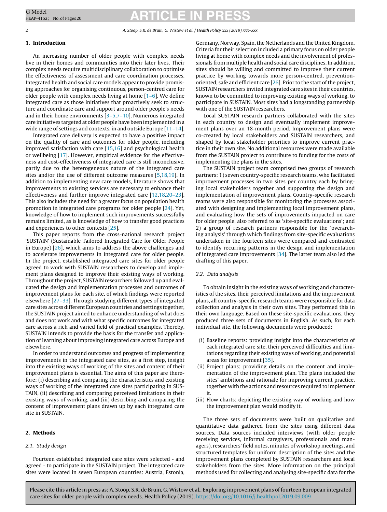#### 2 A. Stoop, S.R. de Bruin, G. Wistow et al. / Health Policy xxx (2019) xxx–xxx

### **1. Introduction**

An increasing number of older people with complex needs live in their homes and communities into their later lives. Their complex needs require multidisciplinary collaboration to optimise the effectiveness of assessment and care coordination processes. Integrated health and social care models appear to provide promising approaches for organising continuous, person-centred care for older people with complex needs living at home  $[1-6]$ . We define integrated care as those initiatives that proactively seek to structure and coordinate care and support around older people's needs and in their home environments [3–5,7–10]. Numerous integrated care initiatives targeted at older peoplehave beenimplemented ina wide range of settings and contexts, in and outside Europe [11–14].

Integrated care delivery is expected to have a positive impact on the quality of care and outcomes for older people, including improved satisfaction with care [15,16] and psychological health or wellbeing [17]. However, empirical evidence for the effectiveness and cost-effectiveness of integrated care is still inconclusive, partly due to the heterogeneous nature of the integrated care sites and/or the use of different outcome measures [5,18,19]. In addition to implementing new care models, literature shows that improvements to existing services are necessary to enhance their effectiveness and further improve integrated care [12,18,20–23]. This also includes the need for a greater focus on population health promotion in integrated care programs for older people [24]. Yet, knowledge of how to implement such improvements successfully remains limited, as is knowledge of how to transfer good practices and experiences to other contexts [25].

This paper reports from the cross-national research project 'SUSTAIN' (Sustainable Tailored Integrated Care for Older People in Europe) [26], which aims to address the above challenges and to accelerate improvements in integrated care for older people. In the project, established integrated care sites for older people agreed to work with SUSTAIN researchers to develop and implement plans designed to improve their existing ways of working. Throughout the project, SUSTAIN researchers followed up and evaluated the design and implementation processes and outcomes of improvement plans for each site, of which findings were reported elsewhere [27–33]. Through studying different types of integrated care sites across different European countries and settings together, the SUSTAIN project aimed to enhance understanding of what does and does not work and with what specific outcomes for integrated care across a rich and varied field of practical examples. Thereby, SUSTAIN intends to provide the basis for the transfer and application of learning about improving integrated care across Europe and elsewhere.

In order to understand outcomes and progress of implementing improvements in the integrated care sites, as a first step, insight into the existing ways of working of the sites and content of their improvement plans is essential. The aims of this paper are therefore: (i) describing and comparing the characteristics and existing ways of working of the integrated care sites participating in SUS-TAIN, (ii) describing and comparing perceived limitations in their existing ways of working, and (iii) describing and comparing the content of improvement plans drawn up by each integrated care site in SUSTAIN.

### **2. Methods**

### 2.1. Study design

Fourteen established integrated care sites were selected - and agreed - to participate in the SUSTAIN project. The integrated care sites were located in seven European countries: Austria, Estonia, Germany, Norway, Spain,the Netherlands and the United Kingdom. Criteria for their selection included a primary focus on older people living at home with complex needs and the involvement of professionals from multiple health and social care disciplines. In addition, sites should be willing and committed to improve their current practice by working towards more person-centred, preventionoriented, safe and efficient care  $[26]$ . Prior to the start of the project, SUSTAIN researchers invited integrated care sites in their countries, known to be committed to improving existing ways of working, to participate in SUSTAIN. Most sites had a longstanding partnership with one of the SUSTAIN researchers.

Local SUSTAIN research partners collaborated with the sites in each country to design and eventually implement improvement plans over an 18-month period. Improvement plans were co-created by local stakeholders and SUSTAIN researchers, and shaped by local stakeholder priorities to improve current practice in their own site. No additional resources were made available from the SUSTAIN project to contribute to funding for the costs of implementing the plans in the sites.

The SUSTAIN project team comprised two groups of research partners: 1) seven country-specific research teams, who facilitated improvement processes in two sites per country each by bringing local stakeholders together and supporting the design and implementation of improvement plans. Country-specific research teams were also responsible for monitoring the processes associated with designing and implementing local improvement plans, and evaluating how the sets of improvements impacted on care for older people, also referred to as 'site-specific evaluations'; and 2) a group of research partners responsible for the 'overarching analysis' through which findings from site-specific evaluations undertaken in the fourteen sites were compared and contrasted to identify recurring patterns in the design and implementation of integrated care improvements [34]. The latter team also led the drafting of this paper.

### 2.2. Data analysis

To obtain insight in the existing ways of working and characteristics of the sites, their perceived limitations and the improvement plans, all country-specific research teams were responsible for data collection and analysis in their own sites. They performed this in their own language. Based on these site-specific evaluations, they produced three sets of documents in English. As such, for each individual site, the following documents were produced:

- (i) Baseline reports: providing insight into the characteristics of each integrated care site, their perceived difficulties and limitations regarding their existing ways of working, and potential areas for improvement [35].
- (ii) Project plans: providing details on the content and implementation of the improvement plan. The plans included the sites' ambitions and rationale for improving current practice, together with the actions and resources required to implement it.
- (iii) Flow charts: depicting the existing way of working and how the improvement plan would modify it.

The three sets of documents were built on qualitative and quantitative data gathered from the sites using different data sources. Data sources included interviews (with older people receiving services, informal caregivers, professionals and managers), researchers' field notes, minutes of workshop meetings, and structured templates for uniform description of the sites and the improvement plans completed by SUSTAIN researchers and local stakeholders from the sites. More information on the principal methods used for collecting and analysing site-specific data for the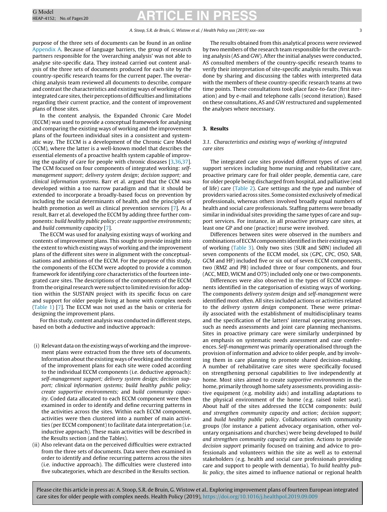#### A. Stoop, S.R. de Bruin, G. Wistow et al. / Health Policy xxx (2019) xxx-xxx 33

purpose of the three sets of documents can be found in an online Appendix A. Because of language barriers, the group of research partners responsible for the 'overarching analysis' was not able to analyse site-specific data. They instead carried out content analysis of the three sets of documents produced for each site by the country-specific research teams for the current paper. The overarching analysis team reviewed all documents to describe, compare and contrast the characteristics and existing ways of working of the integrated care sites, their perceptions of difficulties and limitations regarding their current practice, and the content of improvement plans of those sites.

In the content analysis, the Expanded Chronic Care Model (ECCM) was used to provide a conceptual framework for analysing and comparing the existing ways of working and the improvement plans of the fourteen individual sites in a consistent and systematic way. The ECCM is a development of the Chronic Care Model (CCM), where the latter is a well-known model that describes the essential elements of a proactive health system capable of improving the quality of care for people with chronic diseases [3,36,37]. The CCM focused on four components of integrated working: selfmanagement support; delivery system design; decision support; and clinical information systems. Barr et al. argued that the CCM was developed within a too narrow paradigm and that it should be extended to incorporate a broadly-based focus on prevention by including the social determinants of health, and the principles of health promotion as well as clinical prevention services [7]. As a result, Barr et al. developed the ECCM by adding three further components: build healthy public policy; create supportive environments; and build community capacity [7].

The ECCM was used for analysing existing ways of working and contents of improvement plans. This sought to provide insight into the extent to which existing ways of working and the improvement plans of the different sites were in alignment with the conceptualisations and ambitions of the ECCM. For the purpose of this study, the components of the ECCM were adopted to provide a common framework for identifying core characteristics of the fourteen integrated care sites. The descriptions of the components of the ECCM from the original research were subject to limited revision for adoption within the SUSTAIN project with its specific focus on care and support for older people living at home with complex needs (Table 1) [7]. The ECCM was not used as the basis or criteria for designing the improvement plans.

For this study, content analysis was conducted in different steps, based on both a deductive and inductive approach:

- (i) Relevant data on the existing ways of working and the improvement plans were extracted from the three sets of documents. Information about the existing ways of working and the content of the improvement plans for each site were coded according to the individual ECCM components (i.e. deductive approach): self-management support; delivery system design; decision support; clinical information systems; build healthy public policy; create supportive environments; and build community capacity. Coded data allocated to each ECCM component were then examined in order to identify and define recurring patterns in the activities across the sites. Within each ECCM component, activities were then clustered into a number of main activities (per ECCM component) to facilitate data interpretation (i.e. inductive approach). These main activities will be described in the Results section (and the Tables).
- (ii) Also relevant data on the perceived difficulties were extracted from the three sets of documents. Data were then examined in order to identify and define recurring patterns across the sites (i.e. inductive approach). The difficulties were clustered into five subcategories, which are described in the Results section.

The results obtained from this analytical process were reviewed by two members of the research team responsible for the overarching analysis (AS and GW). After the initial analyses were conducted, AS consulted members of the country-specific research teams to verify their interpretation of site-specific analysis results. This was done by sharing and discussing the tables with interpreted data with the members of these country-specific research teams at two time points. These consultations took place face-to-face (first iteration) and by e-mail and telephone calls (second iteration). Based on these consultations, AS and GW restructured and supplemented the analyses where necessary.

### **3. Results**

### 3.1. Characteristics and existing ways of working of integrated care sites

The integrated care sites provided different types of care and support services including home nursing and rehabilitative care, proactive primary care for frail older people, dementia care, care for older people being discharged from hospital, and palliative (end of life) care (Table 2). Care settings and the type and number of providers varied across sites. Some consisted exclusively of medical professionals, whereas others involved broadly equal numbers of health and social care professionals. Staffing patterns were broadly similar in individual sites providing the same types of care and support services. For instance, in all proactive primary care sites, at least one GP and one (practice) nurse were involved.

Differences between sites were observed in the numbers and combinations of ECCM components identified in their existing ways of working (Table 3). Only two sites (SUR and SØN) included all seven components of the ECCM model, six (GPC, CPC, OSO, SAB, GCM and HF) included five or six out of seven ECCM components, two (RMZ and PB) included three or four components, and four (ACC, MED, WICM and O75) included only one or two components.

Differences were also observed in the types of ECCM components identified in the categorisation of existing ways of working. The components delivery system design and self-management were identified most often. All sites included actions or activities related to the delivery system design component. These were primarily associated with the establishment of multidisciplinary teams and the specification of the latters' internal operating processes, such as needs assessments and joint care planning mechanisms. Sites in proactive primary care were similarly underpinned by an emphasis on systematic needs assessment and case conferences. Self-management was primarily operationalised through the provision of information and advice to older people, and by involving them in care planning to promote shared decision-making. A number of rehabilitative care sites were specifically focused on strengthening personal capabilities to live independently at home. Most sites aimed to create supportive environments in the home, primarily through home safety assessments, providing assistive equipment (e.g. mobility aids) and installing adaptations to the physical environment of the home (e.g. raised toilet seat). About half of the sites addressed the ECCM components: build and strengthen community capacity and action; decision support; and build healthy public policy. Collaborations with community groups (for instance a patient advocacy organisation, other voluntary organisations and churches) were being developed to build and strengthen community capacity and action. Actions to provide decision support primarily focused on training and advice to professionals and volunteers within the site as well as to external stakeholders (e.g. health and social care professionals providing care and support to people with dementia). To build healthy public policy, the sites aimed to influence national or regional health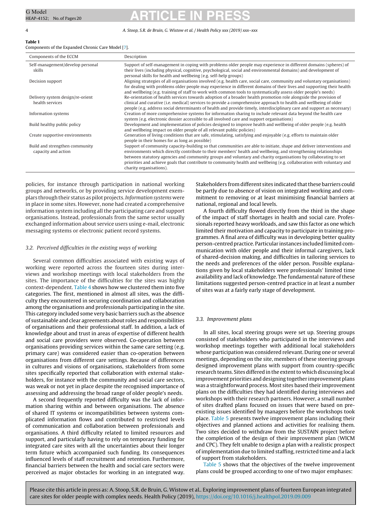Components of the Expanded Chronic Care Model [7].

# G Model G Model **ARTICLE IN PRESS**

**Table 1**

4 A. Stoop, S.R. de Bruin, G. Wistow et al. / Health Policy xxx (2019) xxx–xxx

| Components of the ECCM                                | Description                                                                                                                                                                                                                                                                                                                                                                                                                                                                                                   |
|-------------------------------------------------------|---------------------------------------------------------------------------------------------------------------------------------------------------------------------------------------------------------------------------------------------------------------------------------------------------------------------------------------------------------------------------------------------------------------------------------------------------------------------------------------------------------------|
| Self-management/develop personal<br>skills            | Support of self-management in coping with problems older people may experience in different domains (spheres) of<br>their lives (including physical, cognitive, psychological, social and environmental domains) and development of<br>personal skills for health and wellbeing (e.g. self-help groups)                                                                                                                                                                                                       |
| Decision support                                      | Aligning strategies of all organisations involved (e.g. health care, social care, community and voluntary organisations)<br>for dealing with problems older people may experience in different domains of their lives and supporting their health<br>and wellbeing (e.g. training of staff to work with common tools to systematically assess older people's needs)                                                                                                                                           |
| Delivery system design/re-orient<br>health services   | Re-orientation of health services towards adoption of a broader health promotion role alongside the provision of<br>clinical and curative (i.e. medical) services to provide a comprehensive approach to health and wellbeing of older<br>people (e.g. address social determinants of health and provide timely, interdisciplinary care and support as necessary)                                                                                                                                             |
| Information systems                                   | Creation of more comprehensive systems for information sharing to include relevant data beyond the health care<br>system (e.g. electronic dossier accessible to all involved care and support organisations)                                                                                                                                                                                                                                                                                                  |
| Build healthy public policy                           | Development and implementation of policies designed to improve health and wellbeing of older people (e.g. health<br>and wellbeing impact on older people of all relevant public policies)                                                                                                                                                                                                                                                                                                                     |
| Create supportive environments                        | Generation of living conditions that are safe, stimulating, satisfying and enjoyable (e.g. efforts to maintain older<br>people in their homes for as long as possible)                                                                                                                                                                                                                                                                                                                                        |
| Build and strengthen community<br>capacity and action | Support of community capacity-building so that communities are able to initiate, shape and deliver interventions and<br>environments which directly contribute to their members' health and wellbeing, and strengthening relationships<br>between statutory agencies and community groups and voluntary and charity organisations by collaborating to set<br>priorities and achieve goals that contribute to community health and wellbeing (e.g. collaboration with voluntary and<br>charity organisations). |

policies, for instance through participation in national working groups and networks, or by providing service development exemplars through their status as pilot projects. Information systems were in place in some sites. However, none had created a comprehensive information system including all the participating care and support organisations. Instead, professionals from the same sector usually exchanged information about service users using e-mail, electronic messaging systems or electronic patient record systems.

### 3.2. Perceived difficulties in the existing ways of working

Several common difficulties associated with existing ways of working were reported across the fourteen sites during interviews and workshop meetings with local stakeholders from the sites. The importance of the difficulties for the sites was highly context-dependent. Table 4 shows how we clustered them into five categories. The first, mentioned in almost all sites, was the difficulty they encountered in securing coordination and collaboration among the organisations and professionals participating in the site. This category included some very basic barriers such as the absence of sustainable and clear agreements about roles and responsibilities of organisations and their professional staff. In addition, a lack of knowledge about and trust in areas of expertise of different health and social care providers were observed. Co-operation between organisations providing services within the same care setting (e.g. primary care) was considered easier than co-operation between organisations from different care settings. Because of differences in cultures and visions of organisations, stakeholders from some sites specifically reported that collaboration with external stakeholders, for instance with the community and social care sectors, was weak or not yet in place despite the recognised importance of assessing and addressing the broad range of older people's needs.

A second frequently reported difficulty was the lack of information sharing within and between organisations. The absence of shared IT systems or incompatibilities between systems complicated information flows and contributed to restricted levels of communication and collaboration between professionals and organisations. A third difficulty related to limited resources and support, and particularly having to rely on temporary funding for integrated care sites with all the uncertainties about their longer term future which accompanied such funding. Its consequences influenced levels of staff recruitment and retention. Furthermore, financial barriers between the health and social care sectors were perceived as major obstacles for working in an integrated way.

Stakeholders from different sites indicated that these barriers could be partly due to absence of vision on integrated working and commitment to removing or at least minimising financial barriers at national, regional and local levels.

A fourth difficulty flowed directly from the third in the shape of the impact of staff shortages in health and social care. Professionals reported heavy workloads, and saw this factor as one which limited their motivation and capacity to participate in training programmes. A final area of difficulty was in developing better quality person-centred practice. Particular instances included limited communication with older people and their informal caregivers, lack of shared-decision making, and difficulties in tailoring services to the needs and preferences of the older person. Possible explanations given by local stakeholders were professionals' limited time availability and lack of knowledge. The fundamental nature ofthese limitations suggested person-centred practice in at least a number of sites was at a fairly early stage of development.

#### 3.3. Improvement plans

In all sites, local steering groups were set up. Steering groups consisted of stakeholders who participated in the interviews and workshop meetings together with additional local stakeholders whose participation was considered relevant. During one or several meetings, depending on the site, members of these steering groups designed improvement plans with support from country-specific research teams. Sites differed in the extent to which discussing local improvement priorities and designing together improvement plans was a straightforward process. Most sites based their improvement plans on the difficulties they had identified during interviews and workshops with their research partners. However, a small number of sites drafted plans focused on issues that were based on preexisting issues identified by managers before the workshops took place. Table 5 presents twelve improvement plans including their objectives and planned actions and activities for realising them. Two sites decided to withdraw from the SUSTAIN project before the completion of the design of their improvement plan (WICM and CPC). They felt unable to design a plan with a realistic prospect of implementation due to limited staffing, restricted time and a lack of support from stakeholders.

Table 5 shows that the objectives of the twelve improvement plans could be grouped according to one of two major emphases: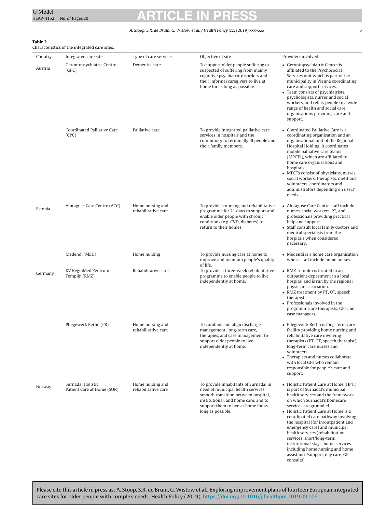### A. Stoop, S.R. de Bruin, G. Wistow et al. / Health Policy xxx (2019) xxx-xxx 5

### **Table 2** Characteristics of the integrated care sites.

| Country | Integrated care site                            | Type of care services                   | Objective of site                                                                                                                                                                                                     | Providers involved                                                                                                                                                                                                                                                                                                                                                                                                                                                                                                       |
|---------|-------------------------------------------------|-----------------------------------------|-----------------------------------------------------------------------------------------------------------------------------------------------------------------------------------------------------------------------|--------------------------------------------------------------------------------------------------------------------------------------------------------------------------------------------------------------------------------------------------------------------------------------------------------------------------------------------------------------------------------------------------------------------------------------------------------------------------------------------------------------------------|
| Austria | Gerontopsychiatric Centre<br>(GPC)              | Dementia care                           | To support older people suffering or<br>suspected of suffering from mainly<br>cognitive psychiatric disorders and<br>their informal caregivers to live at<br>home for as long as possible.                            | • Gerontopsychiatric Centre is<br>affiliated to the Psychosocial<br>Services unit which is part of the<br>municipality in Vienna coordinating<br>care and support services.<br>• Team consists of psychiatrists,<br>psychologists, nurses and social<br>workers, and refers people to a wide<br>range of health and social care<br>organisations providing care and<br>support.                                                                                                                                          |
|         | Coordinated Palliative Care<br>(CPC)            | Palliative care                         | To provide integrated palliative care<br>services in hospitals and the<br>community to terminally ill people and<br>their family members.                                                                             | • Coordinated Palliative Care is a<br>coordinating organisation and an<br>organisational unit of the Regional<br>Hospital Holding. It coordinates<br>mobile palliative care teams<br>(MPCTs), which are affiliated to<br>home care organisations and<br>hospitals.<br>• MPCTs consist of physicians, nurses,<br>social workers, therapists, dietitians,<br>volunteers, coordinators and<br>administrators depending on users'<br>needs.                                                                                  |
| Estonia | Alutaguse Care Centre (ACC)                     | Home nursing and<br>rehabilitative care | To provide a nursing and rehabilitative<br>programme for 21 days to support and<br>enable older people with chronic<br>conditions (e.g. CVD, diabetes) to<br>return to their homes.                                   | • Alutaguse Care Centre staff include<br>nurses, social workers, PT, and<br>professionals providing practical<br>help and support.<br>• Staff consult local family doctors and<br>medical specialists from the<br>hospitals when considered<br>necessary.                                                                                                                                                                                                                                                                |
|         | Medendi (MED)                                   | Home nursing                            | To provide nursing care at home to<br>improve and maintain people's quality<br>of life.                                                                                                                               | • Medendi is a home care organisation<br>whose staff include home nurses.                                                                                                                                                                                                                                                                                                                                                                                                                                                |
| Germany | KV RegioMed Zentrum<br>Templin (RMZ)            | Rehabilitative care                     | To provide a three-week rehabilitative<br>programme to enable people to live<br>independently at home.                                                                                                                | • RMZ Templin is located in an<br>outpatient department in a local<br>hospital and is run by the regional<br>physician association.<br>• RMZ treatment by PT, OT, speech<br>therapist<br>• Professionals involved in the<br>programme are therapists, GPs and<br>case managers.                                                                                                                                                                                                                                          |
|         | Pflegewerk Berlin (PB)                          | Home nursing and<br>rehabilitative care | To combine and align discharge<br>management, long-term care,<br>therapies, and case management to<br>support older people to live<br>independently at home.                                                          | • Pflegewerk Berlin is long-term care<br>facility providing home nursing and<br>rehabilitative care involving<br>therapists (PT, OT, speech therapist),<br>long-term care nurses and<br>volunteers.<br>• Therapists and nurses collaborate<br>with local GPs who remain<br>responsible for people's care and<br>support.                                                                                                                                                                                                 |
| Norway  | Surnadal Holistic<br>Patient Care at Home (SUR) | Home nursing and<br>rehabilitative care | To provide inhabitants of Surnadal in<br>need of municipal health services<br>smooth transition between hospital,<br>institutional, and home care, and to<br>support them to live at home for as<br>long as possible. | • Holistic Patient Care at Home (HPH)<br>is part of Surnadal's municipal<br>health services and the framework<br>on which Surnadal's homecare<br>services are grounded.<br>• Holistic Patient Care at Home is a<br>coordinated care pathway involving<br>the hospital (for in/outpatient and<br>emergency care) and municipal<br>health services (rehabilitation<br>services, short/long-term<br>institutional stays, home services<br>including home nursing and home<br>assistance/support, day care, GP<br>consults). |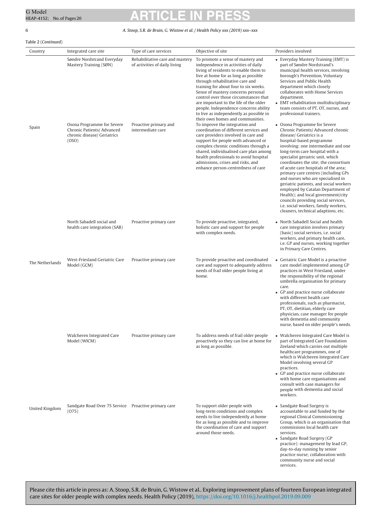### 6 A. Stoop, S.R. de Bruin, G. Wistow et al. / Health Policy xxx (2019) xxx–xxx

| Table 2 (Continued) |                                                                                                                                                          |                                                                                                                |                                                                                                                                                                                                                                                                                                                                                                                                                                                                                                                                                                                                                                                                                                                                                                                                                                                         |                                                                                                                                                                                                                                                                                                                                                                                                                                                                                                                                                                                                                                                                                                                                                                                                                                                                                                                                                                                                                          |
|---------------------|----------------------------------------------------------------------------------------------------------------------------------------------------------|----------------------------------------------------------------------------------------------------------------|---------------------------------------------------------------------------------------------------------------------------------------------------------------------------------------------------------------------------------------------------------------------------------------------------------------------------------------------------------------------------------------------------------------------------------------------------------------------------------------------------------------------------------------------------------------------------------------------------------------------------------------------------------------------------------------------------------------------------------------------------------------------------------------------------------------------------------------------------------|--------------------------------------------------------------------------------------------------------------------------------------------------------------------------------------------------------------------------------------------------------------------------------------------------------------------------------------------------------------------------------------------------------------------------------------------------------------------------------------------------------------------------------------------------------------------------------------------------------------------------------------------------------------------------------------------------------------------------------------------------------------------------------------------------------------------------------------------------------------------------------------------------------------------------------------------------------------------------------------------------------------------------|
| Country             | Integrated care site                                                                                                                                     | Type of care services                                                                                          | Objective of site                                                                                                                                                                                                                                                                                                                                                                                                                                                                                                                                                                                                                                                                                                                                                                                                                                       | Providers involved                                                                                                                                                                                                                                                                                                                                                                                                                                                                                                                                                                                                                                                                                                                                                                                                                                                                                                                                                                                                       |
| Spain               | Søndre Nordstrand Everyday<br>Mastery Training (SØN)<br>Osona Programme for Severe<br>Chronic Patients/ Advanced<br>chronic disease/ Geriatrics<br>(OSO) | Rehabilitative care and mastery<br>of activities of daily living<br>Proactive primary and<br>intermediate care | To promote a sense of mastery and<br>independence in activities of daily<br>living of residents to enable them to<br>live at home for as long as possible<br>through rehabilitative care and<br>training for about four to six weeks.<br>Sense of mastery concerns personal<br>control over those circumstances that<br>are important to the life of the older<br>people. Independence concerns ability<br>to live as independently as possible in<br>their own homes and communities.<br>To improve the integration and<br>coordination of different services and<br>care providers involved in care and<br>support for people with advanced or<br>complex chronic conditions through a<br>shared, individualised care plan among<br>health professionals to avoid hospital<br>admissions, crises and risks, and<br>enhance person-centredness of care | • Everyday Mastery Training (EMT) is<br>part of Søndre Nordstrand's<br>municipal health services, involving<br>borough's Prevention, Voluntary<br>Services and Public Health<br>department which closely<br>collaborates with Home Services<br>department.<br>• EMT rehabilitation multidisciplinary<br>team consists of PT, OT, nurses, and<br>professional trainers.<br>• Osona Programme for Severe<br>Chronic Patients/ Advanced chronic<br>disease/ Geriatrics is a<br>hospital-based programme<br>involving: one intermediate and one<br>long-term care hospital with a<br>specialist geriatric unit, which<br>coordinates the site; the consortium<br>of acute care hospitals of the area;<br>primary care centres (including GPs<br>and nurses who are specialised in<br>geriatric patients, and social workers<br>employed by Catalan Department of<br>Health); and local government/city<br>councils providing social services,<br>i.e. social workers, family workers,<br>cleaners, technical adaptions, etc. |
|                     | North Sabadell social and<br>health care integration (SAB)                                                                                               | Proactive primary care                                                                                         | To provide proactive, integrated,<br>holistic care and support for people<br>with complex needs.                                                                                                                                                                                                                                                                                                                                                                                                                                                                                                                                                                                                                                                                                                                                                        | • North Sabadell Social and health<br>care integration involves primary<br>(basic) social services, i.e. social<br>workers, and primary health care,<br>i.e. GP and nurses, working together<br>in Primary Care Centres.                                                                                                                                                                                                                                                                                                                                                                                                                                                                                                                                                                                                                                                                                                                                                                                                 |
| The Netherlands     | West-Friesland Geriatric Care<br>Model (GCM)                                                                                                             | Proactive primary care                                                                                         | To provide proactive and coordinated<br>care and support to adequately address<br>needs of frail older people living at<br>home.                                                                                                                                                                                                                                                                                                                                                                                                                                                                                                                                                                                                                                                                                                                        | • Geriatric Care Model is a proactive<br>care model implemented among GP<br>practices in West Friesland, under<br>the responsibility of the regional<br>umbrella organisation for primary<br>care.<br>• GP and practice nurse collaborate<br>with different health care<br>professionals, such as pharmacist,<br>PT, OT, dietitian, elderly care<br>physician, case manager for people<br>with dementia and community<br>nurse, based on older people's needs.                                                                                                                                                                                                                                                                                                                                                                                                                                                                                                                                                           |
|                     | Walcheren Integrated Care<br>Model (WICM)                                                                                                                | Proactive primary care                                                                                         | To address needs of frail older people<br>proactively so they can live at home for<br>as long as possible.                                                                                                                                                                                                                                                                                                                                                                                                                                                                                                                                                                                                                                                                                                                                              | • Walcheren Integrated Care Model is<br>part of Integrated Care Foundation<br>Zeeland which carries out multiple<br>healthcare programmes, one of<br>which is Walcheren Integrated Care<br>Model involving several GP<br>practices.<br>• GP and practice nurse collaborate<br>with home care organisations and<br>consult with case managers for<br>people with dementia and social<br>workers.                                                                                                                                                                                                                                                                                                                                                                                                                                                                                                                                                                                                                          |
| United Kingdom      | Sandgate Road Over 75 Service Proactive primary care<br>(075)                                                                                            |                                                                                                                | To support older people with<br>long-term conditions and complex<br>needs to live independently at home<br>for as long as possible and to improve<br>the coordination of care and support<br>around those needs.                                                                                                                                                                                                                                                                                                                                                                                                                                                                                                                                                                                                                                        | • Sandgate Road Surgery is<br>accountable to and funded by the<br>regional Clinical Commissioning<br>Group, which is an organisation that<br>commissions local health care<br>services.<br>• Sandgate Road Surgery (GP<br>practice): management by lead GP,<br>day-to-day running by senior<br>practice nurse; collaboration with<br>community nurse and social<br>services.                                                                                                                                                                                                                                                                                                                                                                                                                                                                                                                                                                                                                                             |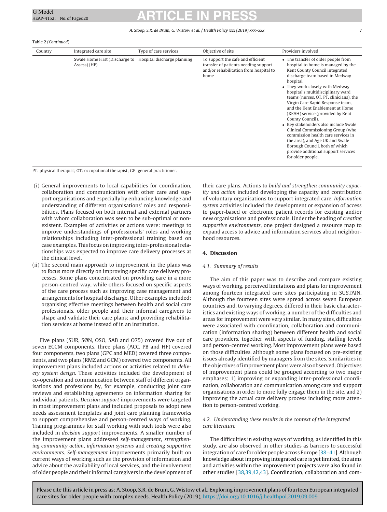#### A. Stoop, S.R. de Bruin, G. Wistow et al. / Health Policy xxx (2019) xxx–xxx 7

| Table 2 (Continued) |  |
|---------------------|--|
|---------------------|--|

| Country | Integrated care site                                                       | Type of care services | Objective of site                                                                                                           | Providers involved                                                                                                                                                                                                                                                                                                                                                                                                                                                                                                                                                                                                                                                 |
|---------|----------------------------------------------------------------------------|-----------------------|-----------------------------------------------------------------------------------------------------------------------------|--------------------------------------------------------------------------------------------------------------------------------------------------------------------------------------------------------------------------------------------------------------------------------------------------------------------------------------------------------------------------------------------------------------------------------------------------------------------------------------------------------------------------------------------------------------------------------------------------------------------------------------------------------------------|
|         | Swale Home First (Discharge to Hospital discharge planning<br>Assess) (HF) |                       | To support the safe and efficient<br>transfer of patients needing support<br>and/or rehabilitation from hospital to<br>home | • The transfer of older people from<br>hospital to home is managed by the<br>Kent County Council integrated<br>discharge team based in Medway<br>hospital.<br>• They work closely with Medway<br>hospital's multidisciplinary ward<br>teams (nurses, OT, PT, clinicians), the<br>Virgin Care Rapid Response team,<br>and the Kent Enablement at Home<br>(KEAH) service (provided by Kent)<br>County Council).<br>• Key stakeholders also include Swale<br>Clinical Commissioning Group (who<br>commission health care services in<br>the area), and Age UK and Swale<br>Borough Council, both of which<br>provide additional support services<br>for older people. |

PT: physical therapist; OT: occupational therapist; GP: general practitioner.

- (i) General improvements to local capabilities for coordination, collaboration and communication with other care and support organisations and especially by enhancing knowledge and understanding of different organisations' roles and responsibilities. Plans focused on both internal and external partners with whom collaboration was seen to be sub-optimal or nonexistent. Examples of activities or actions were: meetings to improve understandings of professionals' roles and working relationships including inter-professional training based on case examples. This focus on improving inter-professional relationships was expected to improve care delivery processes at the clinical level.
- (ii) The second main approach to improvement in the plans was to focus more directly on improving specific care delivery processes. Some plans concentrated on providing care in a more person-centred way, while others focused on specific aspects of the care process such as improving case management and arrangements for hospital discharge. Other examples included: organising effective meetings between health and social care professionals, older people and their informal caregivers to shape and validate their care plans; and providing rehabilitation services at home instead of in an institution.

Five plans (SUR, SØN, OSO, SAB and O75) covered five out of seven ECCM components, three plans (ACC, PB and HF) covered four components, two plans (GPC and MED) covered three components, and two plans (RMZ and GCM) covered two components. All improvement plans included actions or activities related to delivery system design. These activities included the development of co-operation and communication between staff of different organisations and professions by, for example, conducting joint care reviews and establishing agreements on information sharing for individual patients. Decision support improvements were targeted in most improvement plans and included proposals to adopt new needs assessment templates and joint care planning frameworks to support comprehensive and person-centred ways of working. Training programmes for staff working with such tools were also included in decision support improvements. A smaller number of the improvement plans addressed self-management, strengthening community action, information systems and creating supportive environments. Self-management improvements primarily built on current ways of working such as the provision of information and advice about the availability of local services, and the involvement of older people and their informal caregivers in the development of

their care plans. Actions to build and strengthen community capacity and action included developing the capacity and contribution of voluntary organisations to support integrated care. Information system activities included the development or expansion of access to paper-based or electronic patient records for existing and/or new organisations and professionals. Under the heading of creating supportive environments, one project designed a resource map to expand access to advice and information services about neighborhood resources.

### **4. Discussion**

### 4.1. Summary of results

The aim of this paper was to describe and compare existing ways of working, perceived limitations and plans for improvement among fourteen integrated care sites participating in SUSTAIN. Although the fourteen sites were spread across seven European countries and, to varying degrees, differed in their basic characteristics and existing ways of working, a number of the difficulties and areas for improvement were very similar. In many sites, difficulties were associated with coordination, collaboration and communication (information sharing) between different health and social care providers, together with aspects of funding, staffing levels and person-centred working. Most improvement plans were based on those difficulties, although some plans focused on pre-existing issues already identified by managers from the sites. Similarities in the objectives ofimprovementplans were also observed. Objectives of improvement plans could be grouped according to two major emphases: 1) improving or expanding inter-professional coordination, collaboration and communication among care and support organisations in order to more fully engage them in the site, and 2) improving the actual care delivery process including more attention to person-centred working.

### 4.2. Understanding these results in the context of the integrated care literature

The difficulties in existing ways of working, as identified in this study, are also observed in other studies as barriers to successful integration of care for older people across Europe [38-41]. Although knowledge about improving integrated care is yet limited, the aims and activities within the improvement projects were also found in other studies [38,39,42,43]. Coordination, collaboration and com-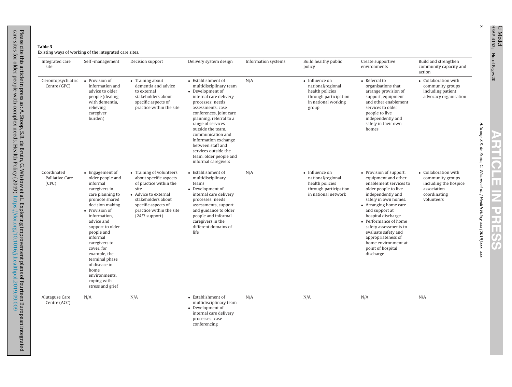| тарк э                                         |  |
|------------------------------------------------|--|
| Evicting wave of working of the integrated car |  |

| Integrated care<br>site                           | Self-management                                                                                                                                                                                                                                                                                                                                                       | Decision support                                                                                                                                                                                          | Delivery system design                                                                                                                                                                                                                                                                                                                                                         | Information systems | Build healthy public<br>policy                                                                                  | Create supportive<br>environments                                                                                                                                                                                                                                                                                                                                      | Build and strengthen<br>community capacity and<br>action                                                       |
|---------------------------------------------------|-----------------------------------------------------------------------------------------------------------------------------------------------------------------------------------------------------------------------------------------------------------------------------------------------------------------------------------------------------------------------|-----------------------------------------------------------------------------------------------------------------------------------------------------------------------------------------------------------|--------------------------------------------------------------------------------------------------------------------------------------------------------------------------------------------------------------------------------------------------------------------------------------------------------------------------------------------------------------------------------|---------------------|-----------------------------------------------------------------------------------------------------------------|------------------------------------------------------------------------------------------------------------------------------------------------------------------------------------------------------------------------------------------------------------------------------------------------------------------------------------------------------------------------|----------------------------------------------------------------------------------------------------------------|
| Gerontopsychiatric • Provision of<br>Centre (GPC) | information and<br>advice to older<br>people (dealing<br>with dementia,<br>relieving<br>caregiver<br>burden)                                                                                                                                                                                                                                                          | • Training about<br>dementia and advice<br>to external<br>stakeholders about<br>specific aspects of<br>practice within the site                                                                           | • Establishment of<br>multidisciplinary team<br>• Development of<br>internal care delivery<br>processes: needs<br>assessments, case<br>conferences, joint care<br>planning, referral to a<br>range of services<br>outside the team,<br>communication and<br>information exchange<br>between staff and<br>services outside the<br>team, older people and<br>informal caregivers | N/A                 | • Influence on<br>national/regional<br>health policies<br>through participation<br>in national working<br>group | • Referral to<br>organisations that<br>arrange provision of<br>support, equipment<br>and other enablement<br>services to older<br>people to live<br>independently and<br>safely in their own<br>homes                                                                                                                                                                  | • Collaboration with<br>community groups<br>including patient<br>advocacy organisation                         |
| Coordinated<br>Palliative Care<br>(CPC)           | • Engagement of<br>older people and<br>informal<br>caregivers in<br>care planning to<br>promote shared<br>decision making<br>• Provision of<br>information.<br>advice and<br>support to older<br>people and<br>informal<br>caregivers to<br>cover, for<br>example, the<br>terminal phase<br>of disease in<br>home<br>environments,<br>coping with<br>stress and grief | • Training of volunteers<br>about specific aspects<br>of practice within the<br>site<br>• Advice to external<br>stakeholders about<br>specific aspects of<br>practice within the site<br>$(24/7$ support) | • Establishment of<br>multidisciplinary<br>teams<br>• Development of<br>internal care delivery<br>processes: needs<br>assessments, support<br>and guidance to older<br>people and informal<br>caregivers in the<br>different domains of<br>life                                                                                                                                | N/A                 | • Influence on<br>national/regional<br>health policies<br>through participation<br>in national network          | • Provision of support,<br>equipment and other<br>enablement services to<br>older people to live<br>independently and<br>safely in own homes.<br>• Arranging home care<br>and support at<br>hospital discharge<br>• Performance of home<br>safety assessments to<br>evaluate safety and<br>appropriateness of<br>home environment at<br>point of hospital<br>discharge | • Collaboration with<br>community groups<br>including the hospice<br>association<br>coordinating<br>volunteers |
| Alutaguse Care<br>Centre (ACC)                    | N/A                                                                                                                                                                                                                                                                                                                                                                   | N/A                                                                                                                                                                                                       | • Establishment of<br>multidisciplinary team<br>• Development of<br>internal care delivery<br>processes: case<br>conferencing                                                                                                                                                                                                                                                  | N/A                 | N/A                                                                                                             | N/A                                                                                                                                                                                                                                                                                                                                                                    | N/A                                                                                                            |

integrated

 $\infty$ 

No. of Pages20

G Model

<sup>G Model</sup><br>HEAP-4152; No.of Pares20 A. Stoop, **ARTICLE IN PRESS** S.R. de Bruin, G. Wistow et al. / Health Policy xxx (2019)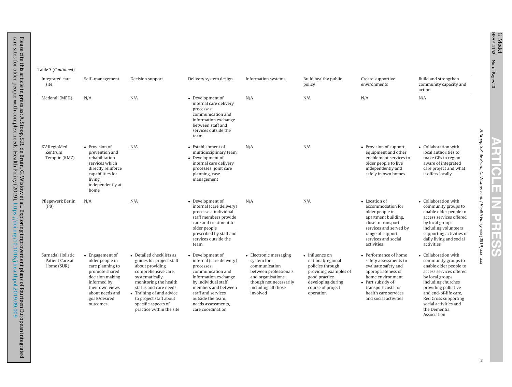| Table 3 (Continued) |
|---------------------|
|                     |

Please

care sites for older

cite this

article in press as: A. Stoop,

people

with

complex

needs.

Health

Policy

(2019),

S.R. de Bruin, G.

Wistow

et al..

Exploring

improvement

<https://doi.org/10.1016/j.healthpol.2019.09.009>

plans of

fourteen

European

integrated

| Integrated care<br>site                            | Self-management                                                                                                                                                               | Decision support                                                                                                                                                                                                                                                            | Delivery system design                                                                                                                                                                                                                      | Information systems                                                                                                                                              | Build healthy public<br>policy                                                                                                                           | Create supportive<br>environments                                                                                                                                                                            | Build and strengthen<br>community capacity and<br>action                                                                                                                                                                                                                   |
|----------------------------------------------------|-------------------------------------------------------------------------------------------------------------------------------------------------------------------------------|-----------------------------------------------------------------------------------------------------------------------------------------------------------------------------------------------------------------------------------------------------------------------------|---------------------------------------------------------------------------------------------------------------------------------------------------------------------------------------------------------------------------------------------|------------------------------------------------------------------------------------------------------------------------------------------------------------------|----------------------------------------------------------------------------------------------------------------------------------------------------------|--------------------------------------------------------------------------------------------------------------------------------------------------------------------------------------------------------------|----------------------------------------------------------------------------------------------------------------------------------------------------------------------------------------------------------------------------------------------------------------------------|
| Medendi (MED)                                      | N/A                                                                                                                                                                           | N/A                                                                                                                                                                                                                                                                         | • Development of<br>internal care delivery<br>processes:<br>communication and<br>information exchange<br>between staff and<br>services outside the<br>team                                                                                  | N/A                                                                                                                                                              | N/A                                                                                                                                                      | N/A                                                                                                                                                                                                          | N/A                                                                                                                                                                                                                                                                        |
| <b>KV RegioMed</b><br>Zentrum<br>Templin (RMZ)     | • Provision of<br>prevention and<br>rehabilitation<br>services which<br>directly reinforce<br>capabilities for<br>living<br>independently at<br>home                          | N/A                                                                                                                                                                                                                                                                         | • Establishment of<br>multidisciplinary team<br>• Development of<br>internal care delivery<br>processes: joint care<br>planning, case<br>management                                                                                         | N/A                                                                                                                                                              | N/A                                                                                                                                                      | • Provision of support,<br>equipment and other<br>enablement services to<br>older people to live<br>independently and<br>safely in own homes                                                                 | • Collaboration with<br>local authorities to<br>make GPs in region<br>aware of integrated<br>care project and what<br>it offers locally                                                                                                                                    |
| Pflegewerk Berlin<br>(PB)                          | N/A                                                                                                                                                                           | N/A                                                                                                                                                                                                                                                                         | • Development of<br>internal (care delivery)<br>processes: individual<br>staff members provide<br>care and treatment to<br>older people<br>prescribed by staff and<br>services outside the<br>team                                          | N/A                                                                                                                                                              | N/A                                                                                                                                                      | • Location of<br>accommodation for<br>older people in<br>apartment building,<br>close to transport<br>services and served by<br>range of support<br>services and social<br>activities                        | • Collaboration with<br>community groups to<br>enable older people to<br>access services offered<br>by local groups<br>including volunteers<br>supporting activities of<br>daily living and social<br>activities                                                           |
| Surnadal Holistic<br>Patient Care at<br>Home (SUR) | • Engagement of<br>older people in<br>care planning to<br>promote shared<br>decision making<br>informed by<br>their own views<br>about needs and<br>goals/desired<br>outcomes | • Detailed checklists as<br>guides for project staff<br>about providing<br>comprehensive care,<br>systematically<br>monitoring the health<br>status and care needs<br>• Training of and advice<br>to project staff about<br>specific aspects of<br>practice within the site | • Development of<br>internal (care delivery)<br>processes:<br>communication and<br>information exchange<br>by individual staff<br>members and between<br>staff and services<br>outside the team,<br>needs assessments,<br>care coordination | • Electronic messaging<br>system for<br>communication<br>between professionals<br>and organisations<br>though not necessarily<br>including all those<br>involved | • Influence on<br>national/regional<br>policies through<br>providing examples of<br>good practice<br>developing during<br>course of project<br>operation | • Performance of home<br>safety assessments to<br>evaluate safety and<br>appropriateness of<br>home environment<br>• Part subsidy of<br>transport costs for<br>health care services<br>and social activities | • Collaboration with<br>community groups to<br>enable older people to<br>access services offered<br>by local groups<br>including churches<br>providing palliative<br>and end-of-life care,<br>Red Cross supporting<br>social activities and<br>the Dementia<br>Association |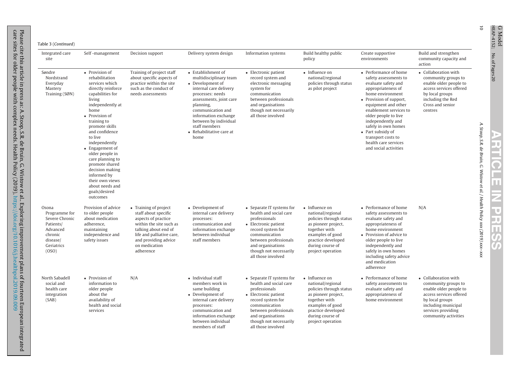| Integrated care<br>site                                                                                         | Self-management                                                                                                                                                                                                                                                                                                                                                                                                      | Decision support                                                                                                                                                                                           | Delivery system design                                                                                                                                                                                                                                                                    | Information systems                                                                                                                                                                                                              | Build healthy public<br>policy                                                                                                                                                            | Create supportive<br>environments                                                                                                                                                                                                                                                                                                                           | Build and strengthen<br>community capacity and<br>action                                                                                                                                 |
|-----------------------------------------------------------------------------------------------------------------|----------------------------------------------------------------------------------------------------------------------------------------------------------------------------------------------------------------------------------------------------------------------------------------------------------------------------------------------------------------------------------------------------------------------|------------------------------------------------------------------------------------------------------------------------------------------------------------------------------------------------------------|-------------------------------------------------------------------------------------------------------------------------------------------------------------------------------------------------------------------------------------------------------------------------------------------|----------------------------------------------------------------------------------------------------------------------------------------------------------------------------------------------------------------------------------|-------------------------------------------------------------------------------------------------------------------------------------------------------------------------------------------|-------------------------------------------------------------------------------------------------------------------------------------------------------------------------------------------------------------------------------------------------------------------------------------------------------------------------------------------------------------|------------------------------------------------------------------------------------------------------------------------------------------------------------------------------------------|
| Søndre<br>Nordstrand<br>Everyday<br>Mastery<br>Training (SØN)                                                   | • Provision of<br>rehabilitation<br>services which<br>directly reinforce<br>capabilities for<br>living<br>independently at<br>home<br>• Provision of<br>training to<br>promote skills<br>and confidence<br>to live<br>independently<br>• Engagement of<br>older people in<br>care planning to<br>promote shared<br>decision making<br>informed by<br>their own views<br>about needs and<br>goals/desired<br>outcomes | Training of project staff<br>about specific aspects of<br>practice within the site<br>such as the conduct of<br>needs assessments                                                                          | • Establishment of<br>multidisciplinary team<br>• Development of<br>internal care delivery<br>processes: needs<br>assessments, joint care<br>planning,<br>communication and<br>information exchange<br>between by individual<br>staff members<br>$\bullet$ Rehabilitative care at<br>home | • Electronic patient<br>record system and<br>electronic messaging<br>system for<br>communication<br>between professionals<br>and organisations<br>though not necessarily<br>all those involved                                   | • Influence on<br>national/regional<br>policies through status<br>as pilot project                                                                                                        | • Performance of home<br>safety assessments to<br>evaluate safety and<br>appropriateness of<br>home environment<br>• Provision of support,<br>equipment and other<br>enablement services to<br>older people to live<br>independently and<br>safely in own homes<br>• Part subsidy of<br>transport costs to<br>health care services<br>and social activities | • Collaboration with<br>community groups to<br>enable older people to<br>access services offered<br>by local groups<br>including the Red<br>Cross and senior<br>centres                  |
| Osona<br>Programme for<br>Severe Chronic<br>Patients/<br>Advanced<br>chronic<br>disease/<br>Geriatrics<br>(OSO) | Provision of advice<br>to older people<br>about medication<br>adherence.<br>maintaining<br>independence and<br>safety issues                                                                                                                                                                                                                                                                                         | • Training of project<br>staff about specific<br>aspects of practice<br>within the site such as<br>talking about end of<br>life and palliative care,<br>and providing advice<br>on medication<br>adherence | • Development of<br>internal care delivery<br>processes:<br>communication and<br>information exchange<br>between individual<br>staff members                                                                                                                                              | • Separate IT systems for<br>health and social care<br>professionals<br>• Electronic patient<br>record system for<br>communication<br>between professionals<br>and organisations<br>though not necessarily<br>all those involved | • Influence on<br>national/regional<br>policies through status<br>as pioneer project,<br>together with<br>examples of good<br>practice developed<br>during course of<br>project operation | • Performance of home<br>safety assessments to<br>evaluate safety and<br>appropriateness of<br>home environment<br>• Provision of advice to<br>older people to live<br>independently and<br>safely in own homes<br>including safety advice<br>and medication<br>adherence                                                                                   | N/A                                                                                                                                                                                      |
| North Sabadell<br>social and<br>health care<br>integration<br>(SAB)                                             | • Provision of<br>information to<br>older people<br>about the<br>availability of<br>health and social<br>services                                                                                                                                                                                                                                                                                                    | N/A                                                                                                                                                                                                        | • Individual staff<br>members work in<br>same building<br>• Development of<br>internal care delivery<br>processes:<br>communication and<br>information exchange<br>between individual<br>members of staff                                                                                 | • Separate IT systems for<br>health and social care<br>professionals<br>• Electronic patient<br>record system for<br>communication<br>between professionals<br>and organisations<br>though not necessarily<br>all those involved | • Influence on<br>national/regional<br>policies through status<br>as pioneer project,<br>together with<br>examples of good<br>practice developed<br>during course of<br>project operation | • Performance of home<br>safety assessments to<br>evaluate safety and<br>appropriateness of<br>home environment                                                                                                                                                                                                                                             | • Collaboration with<br>community groups to<br>enable older people to<br>access services offered<br>by local groups<br>including municipal<br>services providing<br>community activities |

care

European

integrated

 $\overline{\mathsf{o}}$ 

G Model

<sup>G Model</sup><br>HEAP-4152; No.of Pares20 No. of Pages20

A. Stoop, **ARTICLE IN PRESS** S.R. de Bruin, G. Wistow et al. / Health Policy xxx (2019)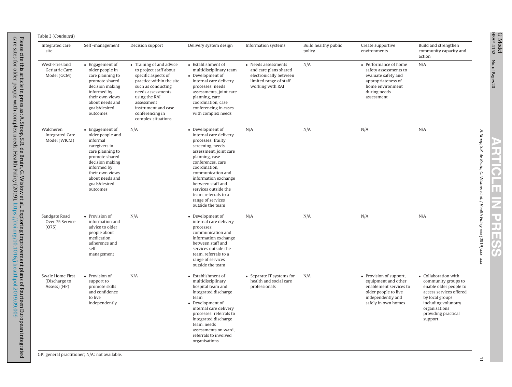| Integrated care<br>site                             | Self-management                                                                                                                                                                                             | Decision support                                                                                                                                                                                                                                | Delivery system design                                                                                                                                                                                                                                                                                                            | Information systems                                                                                                  | Build healthy public<br>policy | Create supportive<br>environments                                                                                                             | Build and strengthen<br>community capacity and<br>action                                                                                                                                      |
|-----------------------------------------------------|-------------------------------------------------------------------------------------------------------------------------------------------------------------------------------------------------------------|-------------------------------------------------------------------------------------------------------------------------------------------------------------------------------------------------------------------------------------------------|-----------------------------------------------------------------------------------------------------------------------------------------------------------------------------------------------------------------------------------------------------------------------------------------------------------------------------------|----------------------------------------------------------------------------------------------------------------------|--------------------------------|-----------------------------------------------------------------------------------------------------------------------------------------------|-----------------------------------------------------------------------------------------------------------------------------------------------------------------------------------------------|
| West-Friesland<br>Geriatric Care<br>Model (GCM)     | • Engagement of<br>older people in<br>care planning to<br>promote shared<br>decision making<br>informed by<br>their own views<br>about needs and<br>goals/desired<br>outcomes                               | • Training of and advice<br>to project staff about<br>specific aspects of<br>practice within the site<br>such as conducting<br>needs assessments<br>using the RAI<br>assessment<br>instrument and case<br>conferencing in<br>complex situations | • Establishment of<br>multidisciplinary team<br>• Development of<br>internal care delivery<br>processes: needs<br>assessments, joint care<br>planning, care<br>coordination, case<br>conferencing in cases<br>with complex needs                                                                                                  | • Needs assessments<br>and care plans shared<br>electronically between<br>limited range of staff<br>working with RAI | N/A                            | • Performance of home<br>safety assessments to<br>evaluate safety and<br>appropriateness of<br>home environment<br>during needs<br>assessment | N/A                                                                                                                                                                                           |
| Walcheren<br><b>Integrated Care</b><br>Model (WICM) | • Engagement of<br>older people and<br>informal<br>caregivers in<br>care planning to<br>promote shared<br>decision making<br>informed by<br>their own views<br>about needs and<br>goals/desired<br>outcomes | N/A                                                                                                                                                                                                                                             | • Development of<br>internal care delivery<br>processes: frailty<br>screening, needs<br>assessment, joint care<br>planning, case<br>conferences, care<br>coordination,<br>communication and<br>information exchange<br>between staff and<br>services outside the<br>team, referrals to a<br>range of services<br>outside the team | N/A                                                                                                                  | N/A                            | N/A                                                                                                                                           | N/A                                                                                                                                                                                           |
| Sandgate Road<br>Over 75 Service<br>(075)           | • Provision of<br>information and<br>advice to older<br>people about<br>medication<br>adherence and<br>self-<br>management                                                                                  | N/A                                                                                                                                                                                                                                             | • Development of<br>internal care delivery<br>processes:<br>communication and<br>information exchange<br>between staff and<br>services outside the<br>team, referrals to a<br>range of services<br>outside the team                                                                                                               | N/A                                                                                                                  | N/A                            | N/A                                                                                                                                           | N/A                                                                                                                                                                                           |
| Swale Home First<br>(Discharge to<br>Assess) (HF)   | • Provision of<br>support to<br>promote skills<br>and confidence<br>to live<br>independently                                                                                                                | N/A                                                                                                                                                                                                                                             | • Establishment of<br>multidisciplinary<br>hospital team and<br>integrated discharge<br>team<br>• Development of<br>internal care delivery<br>processes: referrals to<br>integrated discharge<br>team, needs<br>assessments on ward,<br>referrals to involved<br>organisations                                                    | • Separate IT systems for<br>health and social care<br>professionals                                                 | N/A                            | • Provision of support,<br>equipment and other<br>enablement services to<br>older people to live<br>independently and<br>safely in own homes  | • Collaboration with<br>community groups to<br>enable older people to<br>access services offered<br>by local groups<br>including voluntary<br>organisations<br>providing practical<br>support |

in press as: A. Stoop,

with

complex

A. Stoop, S.R. de

h p

**RTICLE** 

۰

N<br>PRESS

Bruin, G. Wistow et al. / Health

Policy xxx (2019)

xxx–xxx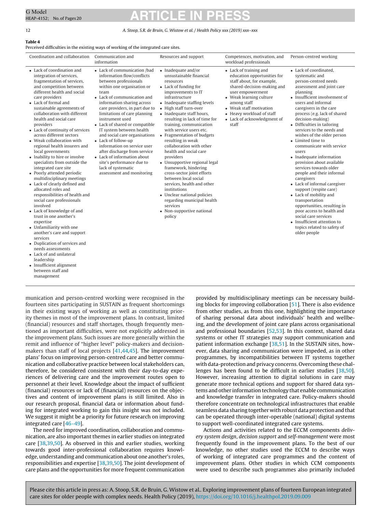### **Table 4**

12 A. Stoop, S.R. de Bruin, G. Wistow et al. / Health Policy xxx (2019) xxx–xxx

### Perceived difficulties in the existing ways of working of the integrated care sites.

| Coordination and collaboration                                                                                                                                                                                                                                                                                                                                                                                                                                                                                                                                                                                                                                                                                                                                                                                                                                                                                                                                                                                                                    | Communication and<br>information                                                                                                                                                                                                                                                                                                                                                                                                                                                                                                                                                | Resources and support                                                                                                                                                                                                                                                                                                                                                                                                                                                                                                                                                                                                                                                                                                 | Competences, motivation, and<br>workload professionals                                                                                                                                                                                                                         | Person-centred working                                                                                                                                                                                                                                                                                                                                                                                                                                                                                                                                                                                                                                                                                                                                                                                   |
|---------------------------------------------------------------------------------------------------------------------------------------------------------------------------------------------------------------------------------------------------------------------------------------------------------------------------------------------------------------------------------------------------------------------------------------------------------------------------------------------------------------------------------------------------------------------------------------------------------------------------------------------------------------------------------------------------------------------------------------------------------------------------------------------------------------------------------------------------------------------------------------------------------------------------------------------------------------------------------------------------------------------------------------------------|---------------------------------------------------------------------------------------------------------------------------------------------------------------------------------------------------------------------------------------------------------------------------------------------------------------------------------------------------------------------------------------------------------------------------------------------------------------------------------------------------------------------------------------------------------------------------------|-----------------------------------------------------------------------------------------------------------------------------------------------------------------------------------------------------------------------------------------------------------------------------------------------------------------------------------------------------------------------------------------------------------------------------------------------------------------------------------------------------------------------------------------------------------------------------------------------------------------------------------------------------------------------------------------------------------------------|--------------------------------------------------------------------------------------------------------------------------------------------------------------------------------------------------------------------------------------------------------------------------------|----------------------------------------------------------------------------------------------------------------------------------------------------------------------------------------------------------------------------------------------------------------------------------------------------------------------------------------------------------------------------------------------------------------------------------------------------------------------------------------------------------------------------------------------------------------------------------------------------------------------------------------------------------------------------------------------------------------------------------------------------------------------------------------------------------|
| • Lack of coordination and<br>integration of services,<br>fragmentation of services,<br>and competition between<br>different health and social<br>care providers<br>• Lack of formal and<br>sustainable agreements of<br>collaboration with different<br>health and social care<br>providers<br>• Lack of continuity of services<br>across different sectors<br>• Weak collaboration with<br>regional health insurers and<br>local governments<br>• Inability to hire or involve<br>specialists from outside the<br>integrated care site<br>• Poorly attended periodic<br>multidisciplinary meetings<br>• Lack of clearly defined and<br>allocated roles and<br>responsibilities of health and<br>social care professionals<br>involved<br>• Lack of knowledge of and<br>trust in one another's<br>expertise<br>• Unfamiliarity with one<br>another's care and support<br>services<br>• Duplication of services and<br>needs assessments<br>• Lack of and unilateral<br>leadership<br>• Insufficient alignment<br>between staff and<br>management | • Lack of communication /bad<br>information flow/conflicts<br>between professionals<br>within one organisation or<br>team<br>• Lack of communication and<br>information sharing across<br>care providers, in part due to<br>limitations of care planning<br>instrument used<br>• Lack of shared or compatible<br>IT system between health<br>and social care organisations<br>• Lack of follow-up<br>information on service user<br>after discharge from service<br>• Lack of information about<br>site's performance due to<br>lack of systematic<br>assessment and monitoring | $\bullet$ Inadequate and/or<br>unsustainable financial<br>resources<br>• Lack of funding for<br>improvements to IT<br>infrastructure<br>• Inadequate staffing levels<br>• High staff turn-over<br>• Inadequate staff hours,<br>resulting in lack of time for<br>training, communication<br>with service users etc.<br>• Fragmentation of budgets<br>resulting in weak<br>collaboration with other<br>health and social care<br>providers<br>• Unsupportive regional legal<br>framework, hindering<br>cross-sector joint efforts<br>between local social<br>services, health and other<br>institutions<br>• Unclear national policies<br>regarding municipal health<br>services<br>• Non-supportive national<br>policy | • Lack of training and<br>education opportunities for<br>staff about, for example,<br>shared-decision-making and<br>user empowerment<br>• Weak learning culture<br>among staff<br>• Weak staff motivation<br>• Heavy workload of staff<br>• Lack of acknowledgment of<br>staff | • Lack of coordinated,<br>systematic and<br>person-centred needs<br>assessment and joint care<br>planning<br>• Insufficient involvement of<br>users and informal<br>caregivers in the care<br>process (e.g. lack of shared<br>decision-making)<br>• Difficulties in tailoring<br>services to the needs and<br>wishes of the older person<br>• Limited time to<br>communicate with service<br>users<br>• Inadequate information<br>provision about available<br>services towards older<br>people and their informal<br>caregivers<br>• Lack of informal caregiver<br>support (respite care)<br>• Lack of mobility and<br>transportation<br>opportunities, resulting in<br>poor access to health and<br>social care services<br>• Insufficient attention to<br>topics related to safety of<br>older people |

munication and person-centred working were recognised in the fourteen sites participating in SUSTAIN as frequent shortcomings in their existing ways of working as well as constituting priority themes in most of the improvement plans. In contrast, limited (financial) resources and staff shortages, though frequently mentioned as important difficulties, were not explicitly addressed in the improvement plans. Such issues are more generally within the remit and influence of "higher level" policy-makers and decisionmakers than staff of local projects [41,44,45]. The improvement plans' focus on improving person-centred care and better communication and collaborative practice between local stakeholders can, therefore, be considered consistent with their day-to-day experiences of delivering care and the improvement routes open to personnel at their level. Knowledge about the impact of sufficient (financial) resources or lack of (financial) resources on the objectives and content of improvement plans is still limited. Also in our research proposal, financial data or information about funding for integrated working to gain this insight was not included. We suggest it might be a priority for future research on improving integrated care [46–49].

The need for improved coordination, collaboration and communication, are also important themes in earlier studies on integrated care [38,39,50]. As observed in this and earlier studies, working towards good inter-professional collaboration requires knowledge, understanding and communication about one another's roles, responsibilities and expertise [38,39,50]. The joint development of care plans and the opportunities for more frequent communication

provided by multidisciplinary meetings can be necessary building blocks for improving collaboration [51]. There is also evidence from other studies, as from this one, highlighting the importance of sharing personal data about individuals' health and wellbeing, and the development of joint care plans across organisational and professional boundaries [52,53]. In this context, shared data systems or other IT strategies may support communication and patient information exchange [38,51]. In the SUSTAIN sites, however, data sharing and communication were impeded, as in other programmes, by incompatibilities between IT systems together with data-protection and privacy concerns. Overcoming these challenges has been found to be difficult in earlier studies [38,50]. However, increasing attention to digital solutions in care may generate more technical options and support for shared data systems and other information technology that enable communication and knowledge transfer in integrated care. Policy-makers should therefore concentrate on technological infrastructures that enable seamless data sharing together with robust data protection and that can be operated through inter-operable (national) digital systems to support well-coordinated integrated care systems.

Actions and activities related to the ECCM components delivery system design, decision support and self-management were most frequently found in the improvement plans. To the best of our knowledge, no other studies used the ECCM to describe ways of working of integrated care programmes and the content of improvement plans. Other studies in which CCM components were used to describe such programmes also primarily included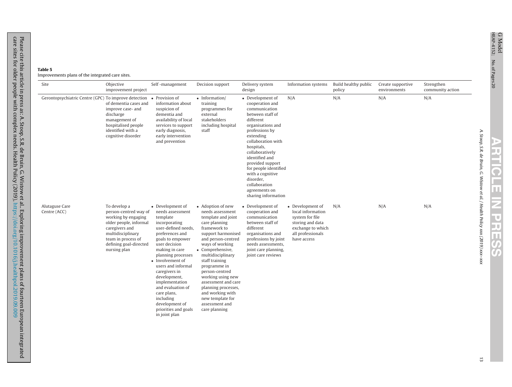| Table 5                                          |  |  |  |
|--------------------------------------------------|--|--|--|
| Improvements plans of the integrated care sites. |  |  |  |

| Site                                                 | Objective<br>improvement project                                                                                                                                                              | Self-management                                                                                                                                                                                                                                                                                                                                                                                   | Decision support                                                                                                                                                                                                                                                                                                                                                                                       | Delivery system<br>design                                                                                                                                                                                                                                                                                                                                 | Information systems                                                                                                                   | Build healthy public<br>policy | Create supportive<br>environments | Strengthen<br>community action |
|------------------------------------------------------|-----------------------------------------------------------------------------------------------------------------------------------------------------------------------------------------------|---------------------------------------------------------------------------------------------------------------------------------------------------------------------------------------------------------------------------------------------------------------------------------------------------------------------------------------------------------------------------------------------------|--------------------------------------------------------------------------------------------------------------------------------------------------------------------------------------------------------------------------------------------------------------------------------------------------------------------------------------------------------------------------------------------------------|-----------------------------------------------------------------------------------------------------------------------------------------------------------------------------------------------------------------------------------------------------------------------------------------------------------------------------------------------------------|---------------------------------------------------------------------------------------------------------------------------------------|--------------------------------|-----------------------------------|--------------------------------|
| Gerontopsychiatric Centre (GPC) To improve detection | of dementia cases and<br>improve case- and<br>discharge<br>management of<br>hospitalised people<br>identified with a<br>cognitive disorder                                                    | • Provision of<br>information about<br>suspicion of<br>dementia and<br>availability of local<br>services to support<br>early diagnosis,<br>early intervention<br>and prevention                                                                                                                                                                                                                   | • Information/<br>training<br>programmes for<br>external<br>stakeholders<br>including hospital<br>staff                                                                                                                                                                                                                                                                                                | • Development of<br>cooperation and<br>communication<br>between staff of<br>different<br>organisations and<br>professions by<br>extending<br>collaboration with<br>hospitals,<br>collaboratively<br>identified and<br>provided support<br>for people identified<br>with a cognitive<br>disorder,<br>collaboration<br>agreements on<br>sharing information | N/A                                                                                                                                   | N/A                            | N/A                               | N/A                            |
| Alutaguse Care<br>Centre (ACC)                       | To develop a<br>person-centred way of<br>working by engaging<br>older people, informal<br>caregivers and<br>multidisciplinary<br>team in process of<br>defining goal-directed<br>nursing plan | • Development of<br>needs assessment<br>template<br>incorporating<br>user-defined needs,<br>preferences and<br>goals to empower<br>user decision<br>making in care<br>planning processes<br>• Involvement of<br>users and informal<br>caregivers in<br>development,<br>implementation<br>and evaluation of<br>care plans,<br>including<br>development of<br>priorities and goals<br>in joint plan | • Adoption of new<br>needs assessment<br>template and joint<br>care planning<br>framework to<br>support harmonised<br>and person-centred<br>ways of working<br>• Comprehensive,<br>multidisciplinary<br>staff training<br>programme in<br>person-centred<br>working using new<br>assessment and care<br>planning processes,<br>and working with<br>new template for<br>assessment and<br>care planning | • Development of<br>cooperation and<br>communication<br>between staff of<br>different<br>organisations and<br>professions by joint<br>needs assessments,<br>joint care planning,<br>joint care reviews                                                                                                                                                    | • Development of<br>local information<br>system for file<br>storing and data<br>exchange to which<br>all professionals<br>have access | N/A                            | N/A                               | N/A                            |

No. of Pages20

G Model

**G Model**<br>HEAP-4152; No.of Pares20<br>HEAPESS  $\mathbf{E}% _{0}\left( t\right)$ **RTICLE IN PRESS** 

A. Stoop, S.R. de

Bruin, G. Wistow et al. / Health

Policy xxx (2019)

xxx–xxx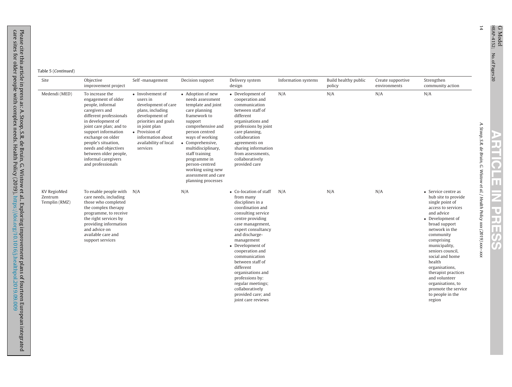Please

care sites for older

cite this

article in press as: A. Stoop,

people

with

complex

needs.

Health

Policy

(2019),

S.R. de Bruin, G.

Wistow

 $\mathbf{e}$ al..

Exploring

improvement

<https://doi.org/10.1016/j.healthpol.2019.09.009>

plans of

fourteen

European

integrated

| Site                                    | Objective<br>improvement project                                                                                                                                                                                                                                                                                        | Self-management                                                                                                                                                                                                | Decision support                                                                                                                                                                                                                                                                                                                  | Delivery system<br>design                                                                                                                                                                                                                                                                                                                                                                                            | Information systems | Build healthy public<br>policy | Create supportive<br>environments | Strengthen<br>community action                                                                                                                                                                                                                                                                                                                                                            |
|-----------------------------------------|-------------------------------------------------------------------------------------------------------------------------------------------------------------------------------------------------------------------------------------------------------------------------------------------------------------------------|----------------------------------------------------------------------------------------------------------------------------------------------------------------------------------------------------------------|-----------------------------------------------------------------------------------------------------------------------------------------------------------------------------------------------------------------------------------------------------------------------------------------------------------------------------------|----------------------------------------------------------------------------------------------------------------------------------------------------------------------------------------------------------------------------------------------------------------------------------------------------------------------------------------------------------------------------------------------------------------------|---------------------|--------------------------------|-----------------------------------|-------------------------------------------------------------------------------------------------------------------------------------------------------------------------------------------------------------------------------------------------------------------------------------------------------------------------------------------------------------------------------------------|
| Medendi (MED)                           | To increase the<br>engagement of older<br>people, informal<br>caregivers and<br>different professionals<br>in development of<br>joint care plan; and to<br>support information<br>exchange on older<br>people's situation,<br>needs and objectives<br>between older people,<br>informal caregivers<br>and professionals | • Involvement of<br>users in<br>development of care<br>plans, including<br>development of<br>priorities and goals<br>in joint plan<br>• Provision of<br>information about<br>availability of local<br>services | • Adoption of new<br>needs assessment<br>template and joint<br>care planning<br>framework to<br>support<br>comprehensive and<br>person centred<br>ways of working<br>• Comprehensive,<br>multidisciplinary,<br>staff training<br>programme in<br>person-centred<br>working using new<br>assessment and care<br>planning processes | • Development of<br>cooperation and<br>communication<br>between staff of<br>different<br>organisations and<br>professions by joint<br>care planning,<br>collaboration<br>agreements on<br>sharing information<br>from assessments,<br>collaboratively<br>provided care                                                                                                                                               | N/A                 | N/A                            | N/A                               | N/A                                                                                                                                                                                                                                                                                                                                                                                       |
| KV RegioMed<br>Zentrum<br>Templin (RMZ) | To enable people with<br>care needs, including<br>those who completed<br>the complex therapy<br>programme, to receive<br>the right services by<br>providing information<br>and advice on<br>available care and<br>support services                                                                                      | N/A                                                                                                                                                                                                            | N/A                                                                                                                                                                                                                                                                                                                               | • Co-location of staff<br>from many<br>disciplines in a<br>coordination and<br>consulting service<br>centre providing<br>case management,<br>expert consultancy<br>and discharge-<br>management<br>• Development of<br>cooperation and<br>communication<br>between staff of<br>different<br>organisations and<br>professions by:<br>regular meetings;<br>collaboratively<br>provided care; and<br>joint care reviews | N/A                 | N/A                            | N/A                               | • Service centre as<br>hub site to provide<br>single point of<br>access to services<br>and advice<br>• Development of<br>broad support<br>network in the<br>community<br>comprising<br>municipality,<br>seniors council,<br>social and home<br>health<br>organisations,<br>therapist practices<br>and volunteer<br>organisations, to<br>promote the service<br>to people in the<br>region |

No. of Pages20

G Model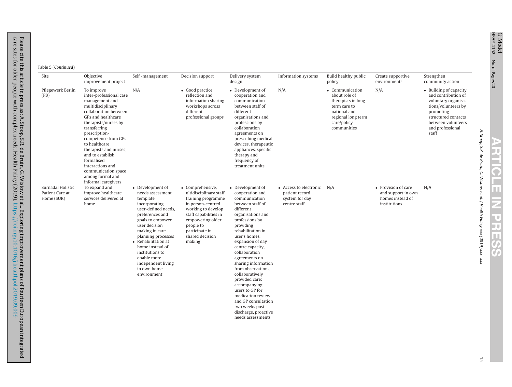#### Table 5 (Continued)

| Site                                               | Objective<br>improvement project                                                                                                                                                                                                                                                                                                                                               | Self-management                                                                                                                                                                                                                                                                                                          | Decision support                                                                                                                                                                                                     | Delivery system<br>design                                                                                                                                                                                                                                                                                                                                                                                                                                                                 | Information systems                                                        | Build healthy public<br>policy                                                                                                             | Create supportive<br>environments                                             | Strengthen<br>community action                                                                                                                                                     |
|----------------------------------------------------|--------------------------------------------------------------------------------------------------------------------------------------------------------------------------------------------------------------------------------------------------------------------------------------------------------------------------------------------------------------------------------|--------------------------------------------------------------------------------------------------------------------------------------------------------------------------------------------------------------------------------------------------------------------------------------------------------------------------|----------------------------------------------------------------------------------------------------------------------------------------------------------------------------------------------------------------------|-------------------------------------------------------------------------------------------------------------------------------------------------------------------------------------------------------------------------------------------------------------------------------------------------------------------------------------------------------------------------------------------------------------------------------------------------------------------------------------------|----------------------------------------------------------------------------|--------------------------------------------------------------------------------------------------------------------------------------------|-------------------------------------------------------------------------------|------------------------------------------------------------------------------------------------------------------------------------------------------------------------------------|
| Pflegewerk Berlin<br>(PB)                          | To improve<br>inter-professional case<br>management and<br>multidisciplinary<br>collaboration between<br>GPs and healthcare<br>therapists/nurses by<br>transferring<br>prescription-<br>competence from GPs<br>to healthcare<br>therapists and nurses;<br>and to establish<br>formalised<br>interactions and<br>communication space<br>among formal and<br>informal caregivers | N/A                                                                                                                                                                                                                                                                                                                      | • Good practice<br>reflection and<br>information sharing<br>workshops across<br>different<br>professional groups                                                                                                     | • Development of<br>cooperation and<br>communication<br>between staff of<br>different<br>organisations and<br>professions by<br>collaboration<br>agreements on<br>prescribing medical<br>devices, therapeutic<br>appliances, specific<br>therapy and<br>frequency of<br>treatment units                                                                                                                                                                                                   | N/A                                                                        | • Communication<br>about role of<br>therapists in long<br>term care to<br>national and<br>regional long term<br>care/policy<br>communities | N/A                                                                           | • Building of capacity<br>and contribution of<br>voluntary organisa-<br>tions/volunteers by<br>promoting<br>structured contacts<br>between volunteers<br>and professional<br>staff |
| Surnadal Holistic<br>Patient Care at<br>Home (SUR) | To expand and<br>improve healthcare<br>services delivered at<br>home                                                                                                                                                                                                                                                                                                           | • Development of<br>needs assessment<br>template<br>incorporating<br>user-defined needs,<br>preferences and<br>goals to empower<br>user decision<br>making in care<br>planning processes<br>• Rehabilitation at<br>home instead of<br>institutions to<br>enable more<br>independent living<br>in own home<br>environment | • Comprehensive,<br>ultidisciplinary staff<br>training programme<br>in person-centred<br>working to develop<br>staff capabilities in<br>empowering older<br>people to<br>participate in<br>shared decision<br>making | • Development of<br>cooperation and<br>communication<br>between staff of<br>different<br>organisations and<br>professions by<br>providing<br>rehabilitation in<br>user's homes,<br>expansion of day<br>centre capacity,<br>collaboration<br>agreements on<br>sharing information<br>from observations.<br>collaboratively<br>provided care:<br>accompanying<br>users to GP for<br>medication review<br>and GP consultation<br>two weeks post<br>discharge, proactive<br>needs assessments | • Access to electronic<br>patient record<br>system for day<br>centre staff | N/A                                                                                                                                        | • Provision of care<br>and support in own<br>homes instead of<br>institutions | N/A                                                                                                                                                                                |

A. Stoop, S.R. de G Model

Bruin, G. Wistow et al. / Health

Policy xxx (2019)

xxx–xxx

care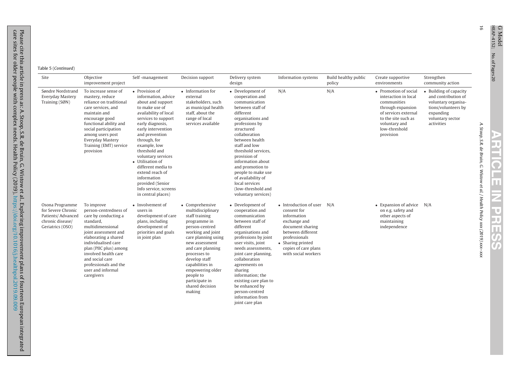| Table 5 (Continued) |  |
|---------------------|--|

| Site                                                                                               | Objective<br>improvement project                                                                                                                                                                                                                                                                     | Self-management                                                                                                                                                                                                                                                                                                                                                                                                | Decision support                                                                                                                                                                                                                                                                                                | Delivery system<br>design                                                                                                                                                                                                                                                                                                                                                                 | Information systems                                                                                                                                                                                | Build healthy public<br>policy | Create supportive<br>environments                                                                                                                                               | Strengthen<br>community action                                                                                                             |
|----------------------------------------------------------------------------------------------------|------------------------------------------------------------------------------------------------------------------------------------------------------------------------------------------------------------------------------------------------------------------------------------------------------|----------------------------------------------------------------------------------------------------------------------------------------------------------------------------------------------------------------------------------------------------------------------------------------------------------------------------------------------------------------------------------------------------------------|-----------------------------------------------------------------------------------------------------------------------------------------------------------------------------------------------------------------------------------------------------------------------------------------------------------------|-------------------------------------------------------------------------------------------------------------------------------------------------------------------------------------------------------------------------------------------------------------------------------------------------------------------------------------------------------------------------------------------|----------------------------------------------------------------------------------------------------------------------------------------------------------------------------------------------------|--------------------------------|---------------------------------------------------------------------------------------------------------------------------------------------------------------------------------|--------------------------------------------------------------------------------------------------------------------------------------------|
| Søndre Nordstrand<br>Everyday Mastery<br>Training (SØN)                                            | To increase sense of<br>mastery, reduce<br>reliance on traditional<br>care services, and<br>maintain and<br>encourage good<br>functional ability and<br>social participation<br>among users post<br>Everyday Mastery<br>Training (EMT) service<br>provision                                          | • Provision of<br>information, advice<br>about and support<br>to make use of<br>availability of local<br>services to support<br>early diagnosis,<br>early intervention<br>and prevention<br>through, for<br>example, low<br>threshold and<br>voluntary services<br>• Utilisation of<br>different media to<br>extend reach of<br>information<br>provided (Senior<br>Info service, screens<br>in central places) | • Information for<br>external<br>stakeholders, such<br>as municipal health<br>staff, about the<br>range of local<br>services available                                                                                                                                                                          | • Development of<br>cooperation and<br>communication<br>between staff of<br>different<br>organisations and<br>professions by<br>structured<br>collaboration<br>between health<br>staff and low<br>threshold services.<br>provision of<br>information about<br>and promotion to<br>people to make use<br>of availability of<br>local services<br>(low-threshold and<br>voluntary services) | N/A                                                                                                                                                                                                | N/A                            | • Promotion of social<br>interaction in local<br>communities<br>through expansion<br>of services external<br>to the site such as<br>voluntary and<br>low-threshold<br>provision | • Building of capacity<br>and contribution of<br>voluntary organisa-<br>tions/volunteers by<br>expanding<br>voluntary sector<br>activities |
| Osona Programme<br>for Severe Chronic<br>Patients/Advanced<br>chronic disease/<br>Geriatrics (OSO) | To improve<br>person-centredness of<br>care by conducting a<br>standard,<br>multidimensional<br>joint assessment and<br>elaborating a shared<br>individualised care<br>plan (PIIC plus) among<br>involved health care<br>and social care<br>professionals and the<br>user and informal<br>caregivers | • Involvement of<br>users in<br>development of care<br>plans, including<br>development of<br>priorities and goals<br>in joint plan                                                                                                                                                                                                                                                                             | • Comprehensive<br>multidisciplinary<br>staff training<br>programme in<br>person-centred<br>working and joint<br>care planning using<br>new assessment<br>and care planning<br>processes to<br>develop staff<br>capabilities in<br>empowering older<br>people to<br>participate in<br>shared decision<br>making | • Development of<br>cooperation and<br>communication<br>between staff of<br>different<br>organisations and<br>professions by joint<br>user visits, joint<br>needs assessments,<br>joint care planning,<br>collaboration<br>agreements on<br>sharing<br>information; the<br>existing care plan to<br>be enhanced by<br>person-centred<br>information from<br>joint care plan               | • Introduction of user<br>consent for<br>information<br>exchange and<br>document sharing<br>between different<br>professionals<br>• Sharing printed<br>copies of care plans<br>with social workers | N/A                            | • Expansion of advice<br>on e.g. safety and<br>other aspects of<br>maintaining<br>independence                                                                                  | N/A                                                                                                                                        |

No. of Pages20

G Model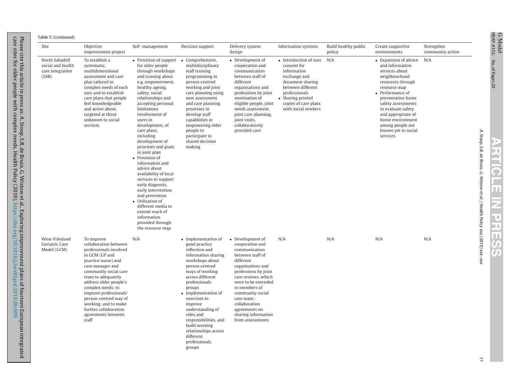Table 5 (Continued)

Please

care sites for older

cite this

article in press as: A. Stoop,

people

with

complex

needs.

Health

Policy

(2019),

S.R. de Bruin, G.

Wistow

et al..

Exploring

improvement

<https://doi.org/10.1016/j.healthpol.2019.09.009>

plans of

fourteen

European

integrated

| Site                                                             | Objective<br>improvement project                                                                                                                                                                                                                                                                                                                            | Self-management                                                                                                                                                                                                                                                                                                                                                                                                                                                                                                                                                                                                                        | Decision support                                                                                                                                                                                                                                                                                                                                                                  | Delivery system<br>design                                                                                                                                                                                                                                                                                        | Information systems                                                                                                                                                                                    | Build healthy public<br>policy | Create supportive<br>environments                                                                                                                                                                                                                                                                      | Strengthen<br>community action |
|------------------------------------------------------------------|-------------------------------------------------------------------------------------------------------------------------------------------------------------------------------------------------------------------------------------------------------------------------------------------------------------------------------------------------------------|----------------------------------------------------------------------------------------------------------------------------------------------------------------------------------------------------------------------------------------------------------------------------------------------------------------------------------------------------------------------------------------------------------------------------------------------------------------------------------------------------------------------------------------------------------------------------------------------------------------------------------------|-----------------------------------------------------------------------------------------------------------------------------------------------------------------------------------------------------------------------------------------------------------------------------------------------------------------------------------------------------------------------------------|------------------------------------------------------------------------------------------------------------------------------------------------------------------------------------------------------------------------------------------------------------------------------------------------------------------|--------------------------------------------------------------------------------------------------------------------------------------------------------------------------------------------------------|--------------------------------|--------------------------------------------------------------------------------------------------------------------------------------------------------------------------------------------------------------------------------------------------------------------------------------------------------|--------------------------------|
| North Sabadell<br>social and health<br>care integration<br>(SAB) | To establish a<br>systematic,<br>multidimensional<br>assessment and care<br>plan tailored to<br>complex needs of each<br>user and to establish<br>care plans that people<br>feel knowledgeable<br>and active about,<br>targeted at those<br>unknown to social<br>services                                                                                   | • Provision of support<br>for older people<br>through workshops<br>and training about<br>e.g. empowerment,<br>healthy ageing,<br>safety, social<br>relationships and<br>accepting personal<br>limitations<br>Involvement of<br>users in<br>development, of<br>care plans,<br>including<br>development of<br>priorities and goals<br>in joint plan<br>• Provision of<br>information and<br>advice about<br>availability of local<br>services to support<br>early diagnosis,<br>early intervention<br>and prevention<br>• Utilisation of<br>different media to<br>extend reach of<br>information<br>provided through<br>the resource map | • Comprehensive,<br>multidisciplinary<br>staff training<br>programming in<br>person-centred<br>working and joint<br>care planning using<br>new assessment<br>and care planning<br>processes to<br>develop staff<br>capabilities in<br>empowering older<br>people to<br>participate in<br>shared decision<br>making                                                                | • Development of<br>cooperation and<br>communication<br>between staff of<br>different<br>organisations and<br>professions by joint<br>nomination of<br>eligible people, joint<br>needs assessment,<br>joint care planning,<br>joint visits,<br>collaboratively<br>provided care                                  | • Introduction of user N/A<br>consent for<br>information<br>exchange and<br>document sharing<br>between different<br>professionals<br>• Sharing printed<br>copies of care plans<br>with social workers |                                | • Expansion of advice<br>and information<br>services about<br>neighbourhood<br>resources through<br>resource map<br>• Performance of<br>preventative home<br>safety assessments<br>to evaluate safety<br>and appropriate of<br>home environment<br>among people not<br>known yet to social<br>services | N/A                            |
| West-Friesland<br>Geriatric Care<br>Model (GCM)                  | To improve<br>collaboration between<br>professionals involved<br>in GCM (GP and<br>practice nurse) and<br>case manager and<br>community social care<br>team to adequately<br>address older people's<br>complex needs; to<br>improve professionals'<br>person-centred way of<br>working; and to make<br>further collaboration<br>agreements between<br>staff | N/A                                                                                                                                                                                                                                                                                                                                                                                                                                                                                                                                                                                                                                    | • Implementation of<br>good practice<br>reflection and<br>information sharing<br>workshops about<br>person-centred<br>ways of working<br>across different<br>professionals<br>groups<br>• Implementation of<br>exercises to<br>improve<br>understanding of<br>roles and<br>responsibilities, and<br>build working<br>relationships across<br>different<br>professionals<br>groups | • Development of<br>cooperation and<br>communication<br>between staff of<br>different<br>organisations and<br>professions by joint<br>care reviews, which<br>were to be extended<br>to members of<br>community social<br>care team;<br>collaboration<br>agreements on<br>sharing information<br>from assessments | N/A                                                                                                                                                                                                    | N/A                            | N/A                                                                                                                                                                                                                                                                                                    | N/A                            |

A. Stoop, S.R. de

Bruin, G. Wistow et al. / Health

Policy xxx (2019)

xxx–xxx

17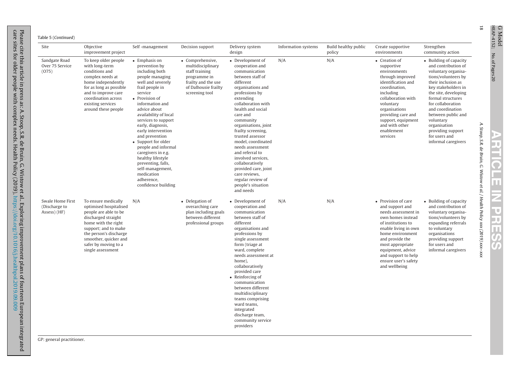Please

care sites for older

cite this

article in press as: A. Stoop,

people

with

complex

needs.

Health

Policy

(2019),

S.R. de Bruin, G.

Wistow

 $\mathbf{r}$ al..

Exploring

improvement

<https://doi.org/10.1016/j.healthpol.2019.09.009>

plans of

fourteen

European

integrated

| Site                                              | Objective<br>improvement project                                                                                                                                                                                                             | Self-management                                                                                                                                                                                                                                                                                                                                                                                                                                                                | Decision support                                                                                                                         | Delivery system<br>design                                                                                                                                                                                                                                                                                                                                                                                                                                                              | Information systems | Build healthy public<br>policy | Create supportive<br>environments                                                                                                                                                                                                                                                | Strengthen<br>community action                                                                                                                                                                                                                                                                                                                 |
|---------------------------------------------------|----------------------------------------------------------------------------------------------------------------------------------------------------------------------------------------------------------------------------------------------|--------------------------------------------------------------------------------------------------------------------------------------------------------------------------------------------------------------------------------------------------------------------------------------------------------------------------------------------------------------------------------------------------------------------------------------------------------------------------------|------------------------------------------------------------------------------------------------------------------------------------------|----------------------------------------------------------------------------------------------------------------------------------------------------------------------------------------------------------------------------------------------------------------------------------------------------------------------------------------------------------------------------------------------------------------------------------------------------------------------------------------|---------------------|--------------------------------|----------------------------------------------------------------------------------------------------------------------------------------------------------------------------------------------------------------------------------------------------------------------------------|------------------------------------------------------------------------------------------------------------------------------------------------------------------------------------------------------------------------------------------------------------------------------------------------------------------------------------------------|
| Sandgate Road<br>Over 75 Service<br>(075)         | To keep older people<br>with long-term<br>conditions and<br>complex needs at<br>home independently<br>for as long as possible<br>and to improve care<br>coordination across<br>existing services<br>around these people                      | • Emphasis on<br>prevention by<br>including both<br>people managing<br>well and severely<br>frail people in<br>service<br>• Provision of<br>information and<br>advice about<br>availability of local<br>services to support<br>early, diagnosis,<br>early intervention<br>and prevention<br>• Support for older<br>people and informal<br>caregivers in e.g.<br>healthy lifestyle<br>preventing, falls,<br>self-management,<br>medication<br>adherence,<br>confidence building | • Comprehensive,<br>multidisciplinary<br>staff training<br>programme in<br>frailty and the use<br>of Dalhousie frailty<br>screening tool | • Development of<br>cooperation and<br>communication<br>between staff of<br>different<br>organisations and<br>professions by<br>extending<br>collaboration with<br>health and social<br>care and<br>community<br>organisations, joint<br>frailty screening,<br>trusted assessor<br>model, coordinated<br>needs assessment<br>and referral to<br>involved services,<br>collaboratively<br>provided care, joint<br>care reviews,<br>regular review of<br>people's situation<br>and needs | N/A                 | N/A                            | • Creation of<br>supportive<br>environments<br>through improved<br>identification and<br>coordination,<br>including<br>collaboration with<br>voluntary<br>organisations<br>providing care and<br>support, equipment<br>and with other<br>enablement<br>services                  | • Building of capacity<br>and contribution of<br>voluntary organisa-<br>tions/volunteers by<br>their inclusion as<br>key stakeholders in<br>the site, developing<br>formal structures<br>for collaboration<br>and coordination<br>between public and<br>voluntary<br>organisation<br>providing support<br>for users and<br>informal caregivers |
| Swale Home First<br>(Discharge to<br>Assess) (HF) | To ensure medically<br>optimised hospitalised<br>people are able to be<br>discharged straight<br>home with the right<br>support; and to make<br>the person's discharge<br>smoother, quicker and<br>safer by moving to a<br>single assessment | N/A                                                                                                                                                                                                                                                                                                                                                                                                                                                                            | • Delegation of<br>overarching care<br>plan including goals<br>between different<br>professional groups                                  | • Development of<br>cooperation and<br>communication<br>between staff of<br>different<br>organisations and<br>professions by<br>single assessment<br>form (triage at<br>ward, complete<br>needs assessment at<br>home),<br>collaboratively<br>provided care<br>• Reinforcing of<br>communication<br>between different<br>multidisciplinary<br>teams comprising<br>ward teams,<br>integrated<br>discharge team,<br>community service<br>providers                                       | N/A                 | N/A                            | • Provision of care<br>and support and<br>needs assessment in<br>own homes instead<br>of institutions to<br>enable living in own<br>home environment<br>and provide the<br>most appropriate<br>equipment, advice<br>and support to help<br>ensure user's safety<br>and wellbeing | • Building of capacity<br>and contribution of<br>voluntary organisa-<br>tions/volunteers by<br>expanding referrals<br>to voluntary<br>organisations<br>providing support<br>for users and<br>informal caregivers                                                                                                                               |

18

No. of Pages20

G Model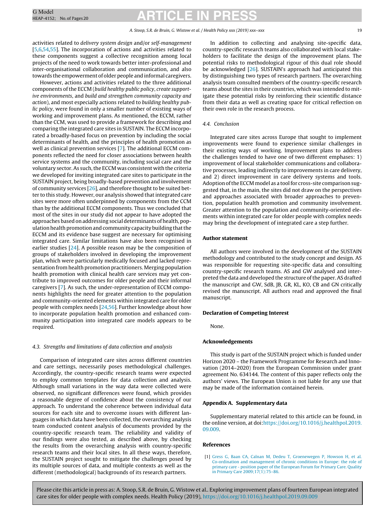activities related to delivery system design and/or self-management [5,6,54,55]. The incorporation of actions and activities related to these components suggest a collective recognition among local projects of the need to work towards better inter-professional and inter-organisational collaboration and communication, and also towards the empowerment of older people and informal caregivers.

However, actions and activities related to the three additional components of the ECCM (build healthy public policy, create supportive environments, and build and strengthen community capacity and action), and most especially actions related to building healthy public policy, were found in only a smaller number of existing ways of working and improvement plans. As mentioned, the ECCM, rather than the CCM, was used to provide a framework for describing and comparing the integrated care sites in SUSTAIN. The ECCM incorporated a broadly-based focus on prevention by including the social determinants of health, and the principles of health promotion as well as clinical prevention services [7]. The additional ECCM components reflected the need for closer associations between health service systems and the community, including social care and the voluntary sector. As such, the ECCM was consistent with the criteria we developed for inviting integrated care sites to participate in the SUSTAIN project, being broadly-based prevention and involvement of community services [26], and therefore thought to be suited better to this study. However, our analysis showed that integrated care sites were more often underpinned by components from the CCM than by the additional ECCM components. Thus we concluded that most of the sites in our study did not appear to have adopted the approaches based on addressing social determinants of health, population health promotion and community capacity building that the ECCM and its evidence base suggest are necessary for optimising integrated care. Similar limitations have also been recognised in earlier studies [24]. A possible reason may be the composition of groups of stakeholders involved in developing the improvement plan, which were particularly medically focused and lacked representation fromhealth promotion practitioners.Merging population health promotion with clinical health care services may yet contribute to improved outcomes for older people and their informal caregivers [7]. As such, the under-representation of ECCM components highlights the need for greater attention to the population and community-oriented elements within integrated care for older people with complex needs [24,56]. Further knowledge about how to incorporate population health promotion and enhanced community participation into integrated care models appears to be required.

#### 4.3. Strengths and limitations of data collection and analysis

Comparison of integrated care sites across different countries and care settings, necessarily poses methodological challenges. Accordingly, the country-specific research teams were expected to employ common templates for data collection and analysis. Although small variations in the way data were collected were observed, no significant differences were found, which provides a reasonable degree of confidence about the consistency of our approach. To understand the coherence between individual data sources for each site and to overcome issues with different languages in which data have been collected, the overarching analysis team conducted content analysis of documents provided by the country-specific research team. The reliability and validity of our findings were also tested, as described above, by checking the results from the overarching analysis with country-specific research teams and their local sites. In all these ways, therefore, the SUSTAIN project sought to mitigate the challenges posed by its multiple sources of data, and multiple contexts as well as the different (methodological) backgrounds of its research partners.

In addition to collecting and analysing site-specific data, country-specific research teams also collaborated with local stakeholders to facilitate the design of the improvement plans. The potential risks to methodological rigour of this dual role should be acknowledged [26]. SUSTAIN's approach had anticipated this by distinguishing two types of research partners. The overarching analysis team consulted members of the country-specific research teams about the sites in their countries, which was intended to mitigate these potential risks by reinforcing their scientific distance from their data as well as creating space for critical reflection on their own role in the research process.

#### 4.4. Conclusion

Integrated care sites across Europe that sought to implement improvements were found to experience similar challenges in their existing ways of working. Improvement plans to address the challenges tended to have one of two different emphases: 1) improvement of local stakeholder communications and collaborative processes, leading indirectly to improvements in care delivery, and 2) direct improvement in care delivery systems and tools. Adoption of the ECCM model as a tool for cross-site comparison suggested that, in the main, the sites did not draw on the perspectives and approaches associated with broader approaches to prevention, population health promotion and community involvement. Greater attention to the population and community-oriented elements within integrated care for older people with complex needs may bring the development of integrated care a step further.

### **Author statement**

All authors were involved in the development of the SUSTAIN methodology and contributed to the study concept and design. AS was responsible for requesting site-specific data and consulting country-specific research teams. AS and GW analysed and interpreted the data and developed the structure of the paper. AS drafted the manuscript and GW, SdB, JB, GR, KL, KO, CB and GN critically revised the manuscript. All authors read and approved the final manuscript.

#### **Declaration of Competing Interest**

None.

### **Acknowledgements**

This study is part of the SUSTAIN project which is funded under Horizon 2020 – the Framework Programme for Research and Innovation (2014–2020) from the European Commission under grant agreement No. 634144. The content of this paper reflects only the authors' views. The European Union is not liable for any use that may be made of the information contained herein.

### **Appendix A. Supplementary data**

Supplementary material related to this article can be found, in the online version, at doi[:https://doi.org/10.1016/j.healthpol.2019.](https://doi.org/10.1016/j.healthpol.2019.09.009) [09.009](https://doi.org/10.1016/j.healthpol.2019.09.009).

### **References**

[1] [Gress](http://refhub.elsevier.com/S0168-8510(19)30229-5/sbref0005) [G,](http://refhub.elsevier.com/S0168-8510(19)30229-5/sbref0005) [Baan](http://refhub.elsevier.com/S0168-8510(19)30229-5/sbref0005) [CA,](http://refhub.elsevier.com/S0168-8510(19)30229-5/sbref0005) [Calnan](http://refhub.elsevier.com/S0168-8510(19)30229-5/sbref0005) [M,](http://refhub.elsevier.com/S0168-8510(19)30229-5/sbref0005) [Dedeu](http://refhub.elsevier.com/S0168-8510(19)30229-5/sbref0005) [T,](http://refhub.elsevier.com/S0168-8510(19)30229-5/sbref0005) [Groenewegen](http://refhub.elsevier.com/S0168-8510(19)30229-5/sbref0005) [P,](http://refhub.elsevier.com/S0168-8510(19)30229-5/sbref0005) [Howson](http://refhub.elsevier.com/S0168-8510(19)30229-5/sbref0005) [H,](http://refhub.elsevier.com/S0168-8510(19)30229-5/sbref0005) [et](http://refhub.elsevier.com/S0168-8510(19)30229-5/sbref0005) [al.](http://refhub.elsevier.com/S0168-8510(19)30229-5/sbref0005) [Co-ordination](http://refhub.elsevier.com/S0168-8510(19)30229-5/sbref0005) [and](http://refhub.elsevier.com/S0168-8510(19)30229-5/sbref0005) [management](http://refhub.elsevier.com/S0168-8510(19)30229-5/sbref0005) [of](http://refhub.elsevier.com/S0168-8510(19)30229-5/sbref0005) [chronic](http://refhub.elsevier.com/S0168-8510(19)30229-5/sbref0005) [conditions](http://refhub.elsevier.com/S0168-8510(19)30229-5/sbref0005) [in](http://refhub.elsevier.com/S0168-8510(19)30229-5/sbref0005) [Europe:](http://refhub.elsevier.com/S0168-8510(19)30229-5/sbref0005) [the](http://refhub.elsevier.com/S0168-8510(19)30229-5/sbref0005) [role](http://refhub.elsevier.com/S0168-8510(19)30229-5/sbref0005) [of](http://refhub.elsevier.com/S0168-8510(19)30229-5/sbref0005) [primary](http://refhub.elsevier.com/S0168-8510(19)30229-5/sbref0005) [care](http://refhub.elsevier.com/S0168-8510(19)30229-5/sbref0005) [-](http://refhub.elsevier.com/S0168-8510(19)30229-5/sbref0005) [position](http://refhub.elsevier.com/S0168-8510(19)30229-5/sbref0005) [paper](http://refhub.elsevier.com/S0168-8510(19)30229-5/sbref0005) [of](http://refhub.elsevier.com/S0168-8510(19)30229-5/sbref0005) [the](http://refhub.elsevier.com/S0168-8510(19)30229-5/sbref0005) [European](http://refhub.elsevier.com/S0168-8510(19)30229-5/sbref0005) [Forum](http://refhub.elsevier.com/S0168-8510(19)30229-5/sbref0005) [for](http://refhub.elsevier.com/S0168-8510(19)30229-5/sbref0005) [Primary](http://refhub.elsevier.com/S0168-8510(19)30229-5/sbref0005) [Care.](http://refhub.elsevier.com/S0168-8510(19)30229-5/sbref0005) [Quality](http://refhub.elsevier.com/S0168-8510(19)30229-5/sbref0005) [in](http://refhub.elsevier.com/S0168-8510(19)30229-5/sbref0005) [Primary](http://refhub.elsevier.com/S0168-8510(19)30229-5/sbref0005) [Care](http://refhub.elsevier.com/S0168-8510(19)30229-5/sbref0005) [2009;17\(1\):75–86.](http://refhub.elsevier.com/S0168-8510(19)30229-5/sbref0005)